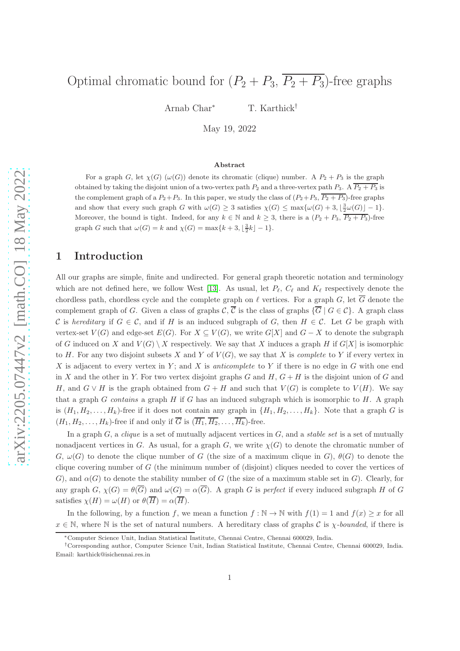# Optimal chromatic bound for  $(P_2 + P_3, \overline{P_2 + P_3})$ -free graphs

Arnab Char<sup>∗</sup> T. Karthick<sup>†</sup>

May 19, 2022

### Abstract

For a graph G, let  $\chi(G)$  ( $\omega(G)$ ) denote its chromatic (clique) number. A  $P_2 + P_3$  is the graph obtained by taking the disjoint union of a two-vertex path  $P_2$  and a three-vertex path  $P_3$ . A  $\overline{P_2 + P_3}$  is the complement graph of a  $P_2+P_3$ . In this paper, we study the class of  $(P_2+P_3, \overline{P_2+P_3})$ -free graphs and show that every such graph G with  $\omega(G) \geq 3$  satisfies  $\chi(G) \leq \max{\{\omega(G) + 3, \lfloor \frac{3}{2} \omega(G) \rfloor - 1\}}$ . Moreover, the bound is tight. Indeed, for any  $k \in \mathbb{N}$  and  $k \geq 3$ , there is a  $(P_2 + P_3, \overline{P_2 + P_3})$ -free graph G such that  $\omega(G) = k$  and  $\chi(G) = \max\{k+3, \lfloor \frac{3}{2}k \rfloor - 1\}.$ 

# 1 Introduction

All our graphs are simple, finite and undirected. For general graph theoretic notation and terminology which are not defined here, we follow West [\[13\]](#page-22-0). As usual, let  $P_{\ell}$ ,  $C_{\ell}$  and  $K_{\ell}$  respectively denote the chordless path, chordless cycle and the complete graph on  $\ell$  vertices. For a graph G, let  $\overline{G}$  denote the complement graph of G. Given a class of graphs  $\mathcal{C}, \overline{\mathcal{C}}$  is the class of graphs  $\{\overline{G} \mid G \in \mathcal{C}\}\$ . A graph class C is *hereditary* if  $G \in \mathcal{C}$ , and if H is an induced subgraph of G, then  $H \in \mathcal{C}$ . Let G be graph with vertex-set  $V(G)$  and edge-set  $E(G)$ . For  $X \subseteq V(G)$ , we write  $G[X]$  and  $G - X$  to denote the subgraph of G induced on X and  $V(G) \setminus X$  respectively. We say that X induces a graph H if  $G[X]$  is isomorphic to H. For any two disjoint subsets X and Y of  $V(G)$ , we say that X is *complete* to Y if every vertex in X is adjacent to every vertex in  $Y$ ; and X is *anticomplete* to Y if there is no edge in  $G$  with one end in X and the other in Y. For two vertex disjoint graphs G and H,  $G + H$  is the disjoint union of G and H, and  $G \vee H$  is the graph obtained from  $G + H$  and such that  $V(G)$  is complete to  $V(H)$ . We say that a graph G *contains* a graph H if G has an induced subgraph which is isomorphic to H. A graph is  $(H_1, H_2, \ldots, H_k)$ -free if it does not contain any graph in  $\{H_1, H_2, \ldots, H_k\}$ . Note that a graph G is  $(H_1, H_2, \ldots, H_k)$ -free if and only if  $\overline{G}$  is  $(\overline{H_1}, \overline{H_2}, \ldots, \overline{H_k})$ -free.

In a graph G, a *clique* is a set of mutually adjacent vertices in G, and a *stable set* is a set of mutually nonadjacent vertices in G. As usual, for a graph G, we write  $\chi(G)$  to denote the chromatic number of  $G, \omega(G)$  to denote the clique number of G (the size of a maximum clique in G),  $\theta(G)$  to denote the clique covering number of G (the minimum number of (disjoint) cliques needed to cover the vertices of G), and  $\alpha(G)$  to denote the stability number of G (the size of a maximum stable set in G). Clearly, for any graph  $G$ ,  $\chi(G) = \theta(\overline{G})$  and  $\omega(G) = \alpha(\overline{G})$ . A graph G is *perfect* if every induced subgraph H of G satisfies  $\chi(H) = \omega(H)$  or  $\theta(\overline{H}) = \alpha(\overline{H})$ .

In the following, by a function f, we mean a function  $f : \mathbb{N} \to \mathbb{N}$  with  $f(1) = 1$  and  $f(x) \geq x$  for all  $x \in \mathbb{N}$ , where N is the set of natural numbers. A hereditary class of graphs C is  $\chi$ -bounded, if there is

<sup>∗</sup>Computer Science Unit, Indian Statistical Institute, Chennai Centre, Chennai 600029, India.

<sup>†</sup>Corresponding author, Computer Science Unit, Indian Statistical Institute, Chennai Centre, Chennai 600029, India. Email: karthick@isichennai.res.in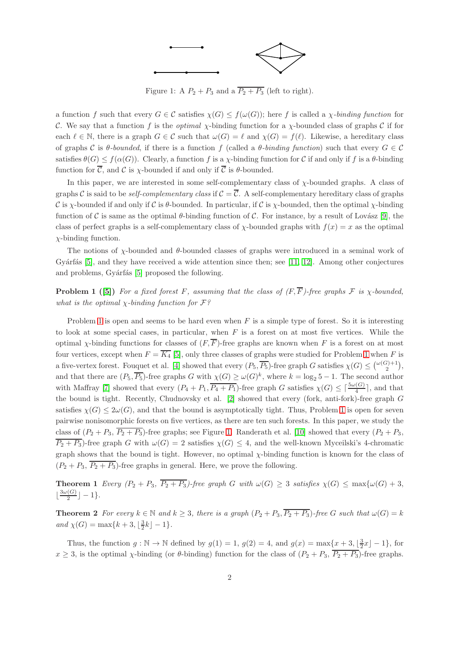

<span id="page-1-1"></span>Figure 1: A  $P_2 + P_3$  and a  $\overline{P_2 + P_3}$  (left to right).

a function f such that every  $G \in \mathcal{C}$  satisfies  $\chi(G) \leq f(\omega(G))$ ; here f is called a *χ-binding function* for C. We say that a function f is the *optimal* χ-binding function for a χ-bounded class of graphs C if for each  $\ell \in \mathbb{N}$ , there is a graph  $G \in \mathcal{C}$  such that  $\omega(G) = \ell$  and  $\chi(G) = f(\ell)$ . Likewise, a hereditary class of graphs C is  $\theta$ -bounded, if there is a function f (called a  $\theta$ -binding function) such that every  $G \in \mathcal{C}$ satisfies  $\theta(G) \leq f(\alpha(G))$ . Clearly, a function f is a *χ*-binding function for C if and only if f is a  $\theta$ -binding function for  $\overline{C}$ , and  $C$  is  $\chi$ -bounded if and only if  $\overline{C}$  is  $\theta$ -bounded.

In this paper, we are interested in some self-complementary class of  $\chi$ -bounded graphs. A class of graphs C is said to be *self-complementary class* if  $C = \overline{C}$ . A self-complementary hereditary class of graphs C is  $\chi$ -bounded if and only if C is  $\theta$ -bounded. In particular, if C is  $\chi$ -bounded, then the optimal  $\chi$ -binding function of C is same as the optimal  $\theta$ -binding function of C. For instance, by a result of Lovász [\[9\]](#page-22-1), the class of perfect graphs is a self-complementary class of  $\chi$ -bounded graphs with  $f(x) = x$  as the optimal  $\chi$ -binding function.

The notions of  $\chi$ -bounded and  $\theta$ -bounded classes of graphs were introduced in a seminal work of Gyárfás  $[5]$ , and they have received a wide attention since then; see  $[11, 12]$  $[11, 12]$ . Among other conjectures and problems, Gyárfás [\[5\]](#page-22-2) proposed the following.

<span id="page-1-0"></span>**Problem 1** ([\[5\]](#page-22-2)) *For a fixed forest* F, assuming that the class of  $(F, \overline{F})$ -free graphs F is  $\chi$ -bounded, *what is the optimal* χ*-binding function for* F*?*

Problem [1](#page-1-0) is open and seems to be hard even when  $F$  is a simple type of forest. So it is interesting to look at some special cases, in particular, when  $F$  is a forest on at most five vertices. While the optimal x-binding functions for classes of  $(F, \overline{F})$ -free graphs are known when F is a forest on at most four vertices, except when  $F = \overline{K_4}$  [\[5\]](#page-22-2), only three classes of graphs were studied for Problem [1](#page-1-0) when F is a five-vertex forest. Fouquet et al. [\[4\]](#page-22-5) showed that every  $(P_5, \overline{P_5})$ -free graph G satisfies  $\chi(G) \leq {\omega(G)+1 \choose 2}$ , and that there are  $(P_5, \overline{P_5})$ -free graphs G with  $\chi(G) \ge \omega(G)^k$ , where  $k = \log_2 5 - 1$ . The second author with Maffray [\[7\]](#page-22-6) showed that every  $(P_4 + P_1, \overline{P_4 + P_1})$ -free graph G satisfies  $\chi(G) \leq \lceil \frac{5\omega(G)}{4} \rceil$ , and that the bound is tight. Recently, Chudnovsky et al. [\[2\]](#page-22-7) showed that every (fork, anti-fork)-free graph G satisfies  $\chi(G) \leq 2\omega(G)$ , and that the bound is asymptotically tight. Thus, Problem [1](#page-1-0) is open for seven pairwise nonisomorphic forests on five vertices, as there are ten such forests. In this paper, we study the class of  $(P_2 + P_3, \overline{P_2 + P_3})$ -free graphs; see Figure [1.](#page-1-1) Randerath et al. [\[10\]](#page-22-8) showed that every  $(P_2 + P_3,$  $\overline{P_2+P_3}$ -free graph G with  $\omega(G)=2$  satisfies  $\chi(G)\leq 4$ , and the well-known Myceilski's 4-chromatic graph shows that the bound is tight. However, no optimal  $\chi$ -binding function is known for the class of  $(P_2 + P_3, \overline{P_2 + P_3})$ -free graphs in general. Here, we prove the following.

<span id="page-1-2"></span>**Theorem 1** *Every*  $(P_2 + P_3, \overline{P_2 + P_3})$ -free graph G with  $\omega(G) \geq 3$  satisfies  $\chi(G) \leq \max{\omega(G) + 3}$ ,  $\lfloor \frac{3\omega(G)}{2} \rfloor$  $\left[\frac{(\mathbf{G})}{2}\right]-1$ .

<span id="page-1-3"></span>**Theorem 2** For every  $k \in \mathbb{N}$  and  $k \geq 3$ , there is a graph  $(P_2 + P_3, \overline{P_2 + P_3})$ *-free* G such that  $\omega(G) = k$  $and \ \chi(G) = \max\{k+3, \lfloor \frac{3}{2}k \rfloor - 1\}.$ 

Thus, the function  $g : \mathbb{N} \to \mathbb{N}$  defined by  $g(1) = 1$ ,  $g(2) = 4$ , and  $g(x) = \max\{x + 3, \lfloor \frac{3}{2}x \rfloor - 1\}$ , for  $x \geq 3$ , is the optimal  $\chi$ -binding (or  $\theta$ -binding) function for the class of  $(P_2 + P_3, \overline{P_2 + P_3})$ -free graphs.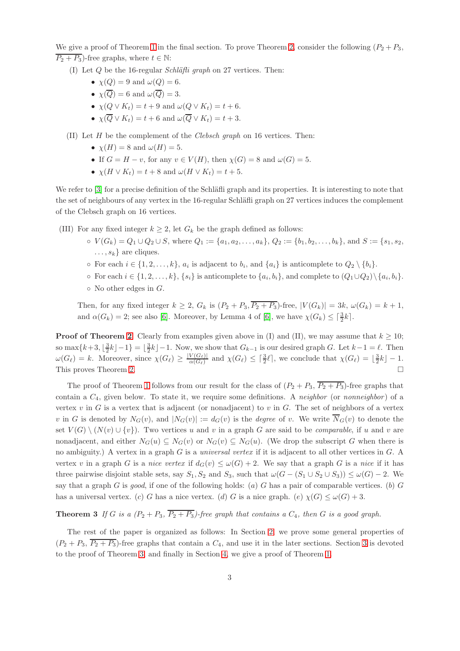We give a proof of Theorem [1](#page-1-2) in the final section. To prove Theorem [2,](#page-1-3) consider the following  $(P_2 + P_3,$  $\overline{P_2 + P_3}$ )-free graphs, where  $t \in \mathbb{N}$ :

- (I) Let Q be the 16-regular *Schl¨afli graph* on 27 vertices. Then:
	- $\chi(Q) = 9$  and  $\omega(Q) = 6$ .
	- $\chi(\overline{Q}) = 6$  and  $\omega(\overline{Q}) = 3$ .
	- $\chi(Q \vee K_t) = t + 9$  and  $\omega(Q \vee K_t) = t + 6$ .
	- $\chi(\overline{Q} \vee K_t) = t + 6$  and  $\omega(\overline{Q} \vee K_t) = t + 3$ .
- (II) Let H be the complement of the *Clebsch graph* on 16 vertices. Then:
	- $\chi(H) = 8$  and  $\omega(H) = 5$ .
	- If  $G = H v$ , for any  $v \in V(H)$ , then  $\chi(G) = 8$  and  $\omega(G) = 5$ .
	- $\chi(H \vee K_t) = t + 8$  and  $\omega(H \vee K_t) = t + 5$ .

We refer to [\[3\]](#page-22-9) for a precise definition of the Schläfli graph and its properties. It is interesting to note that the set of neighbours of any vertex in the 16-regular Schläfli graph on 27 vertices induces the complement of the Clebsch graph on 16 vertices.

- (III) For any fixed integer  $k \geq 2$ , let  $G_k$  be the graph defined as follows:
	- $V(G_k) = Q_1 \cup Q_2 \cup S$ , where  $Q_1 := \{a_1, a_2, \ldots, a_k\}$ ,  $Q_2 := \{b_1, b_2, \ldots, b_k\}$ , and  $S := \{s_1, s_2, \ldots, s_k\}$  $\dots, s_k$  are cliques.
	- $\circ$  For each  $i \in \{1, 2, ..., k\}, a_i$  is adjacent to  $b_i$ , and  $\{a_i\}$  is anticomplete to  $Q_2 \setminus \{b_i\}.$
	- For each  $i \in \{1, 2, ..., k\}, \{s_i\}$  is anticomplete to  $\{a_i, b_i\}$ , and complete to  $(Q_1 \cup Q_2) \setminus \{a_i, b_i\}.$
	- $\circ$  No other edges in  $G$ .

Then, for any fixed integer  $k \geq 2$ ,  $G_k$  is  $(P_2 + P_3, \overline{P_2 + P_3})$ -free,  $|V(G_k)| = 3k$ ,  $\omega(G_k) = k + 1$ , and  $\alpha(G_k) = 2$ ; see also [\[6\]](#page-22-10). Moreover, by Lemma 4 of [6], we have  $\chi(G_k) \leq \lceil \frac{3}{2}k \rceil$ .

**Proof of Theorem [2](#page-1-3).** Clearly from examples given above in (I) and (II), we may assume that  $k \ge 10$ ; so max $\{k+3, \lfloor \frac{3}{2}k \rfloor - 1\} = \lfloor \frac{3}{2}k \rfloor - 1$ . Now, we show that  $G_{k-1}$  is our desired graph G. Let  $k-1 = \ell$ . Then  $\omega(G_{\ell}) = k$ . Moreover, since  $\chi(G_{\ell}) \geq \frac{|V(G_{\ell})|}{\alpha(G_{\ell})}$  $\frac{V(G_{\ell})}{\alpha(G_{\ell})}$  and  $\chi(G_{\ell}) \leq \lceil \frac{3}{2} \ell \rceil$ , we conclude that  $\chi(G_{\ell}) = \lfloor \frac{3}{2} k \rfloor - 1$ . This proves Theorem [2.](#page-1-3)

The proof of Theorem [1](#page-1-2) follows from our result for the class of  $(P_2 + P_3, \overline{P_2 + P_3})$ -free graphs that contain a C4, given below. To state it, we require some definitions. A *neighbor* (or *nonneighbor* ) of a vertex  $v$  in  $G$  is a vertex that is adjacent (or nonadjacent) to  $v$  in  $G$ . The set of neighbors of a vertex v in G is denoted by  $N_G(v)$ , and  $|N_G(v)| := d_G(v)$  is the *degree* of v. We write  $\overline{N}_G(v)$  to denote the set  $V(G) \setminus (N(v) \cup \{v\})$ . Two vertices u and v in a graph G are said to be *comparable*, if u and v are nonadjacent, and either  $N_G(u) \subseteq N_G(v)$  or  $N_G(v) \subseteq N_G(u)$ . (We drop the subscript G when there is no ambiguity.) A vertex in a graph G is a *universal vertex* if it is adjacent to all other vertices in G. A vertex v in a graph G is a *nice vertex* if  $d_G(v) \leq \omega(G) + 2$ . We say that a graph G is a *nice* if it has three pairwise disjoint stable sets, say  $S_1, S_2$  and  $S_3$ , such that  $\omega(G - (S_1 \cup S_2 \cup S_3)) \leq \omega(G) - 2$ . We say that a graph  $G$  is *good*, if one of the following holds:  $(a)$   $G$  has a pair of comparable vertices.  $(b)$   $G$ has a universal vertex. (c) G has a nice vertex. (d) G is a nice graph. (e)  $\chi(G) \leq \omega(G) + 3$ .

<span id="page-2-0"></span>**Theorem 3** If G is a  $(P_2 + P_3, \overline{P_2 + P_3})$ -free graph that contains a  $C_4$ , then G is a good graph.

The rest of the paper is organized as follows: In Section [2,](#page-3-0) we prove some general properties of  $(P_2 + P_3, \overline{P_2 + P_3})$ -free graphs that contain a  $C_4$ , and use it in the later sections. Section [3](#page-5-0) is devoted to the proof of Theorem [3,](#page-2-0) and finally in Section [4,](#page-21-0) we give a proof of Theorem [1.](#page-1-2)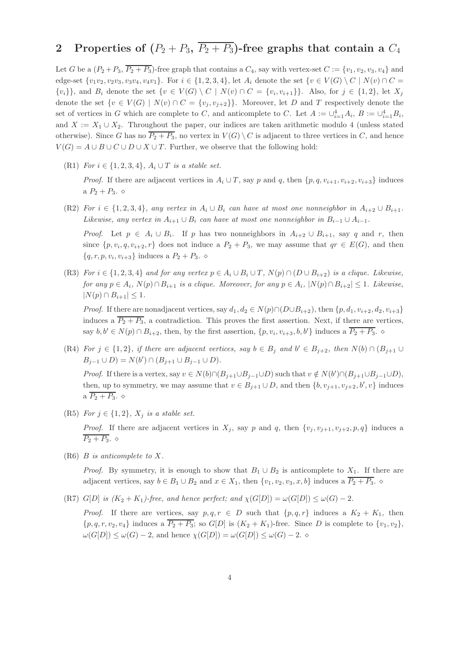# <span id="page-3-0"></span>2 Properties of  $(P_2 + P_3, \overline{P_2 + P_3})$ -free graphs that contain a  $C_4$

Let G be a  $(P_2+P_3, \overline{P_2+P_3})$ -free graph that contains a  $C_4$ , say with vertex-set  $C := \{v_1, v_2, v_3, v_4\}$  and edge-set  $\{v_1v_2, v_2v_3, v_3v_4, v_4v_1\}$ . For  $i \in \{1, 2, 3, 4\}$ , let  $A_i$  denote the set  $\{v \in V(G) \setminus C \mid N(v) \cap C =$  $\{v_i\}\}\$ , and  $B_i$  denote the set  $\{v \in V(G) \setminus C \mid N(v) \cap C = \{v_i, v_{i+1}\}\}\$ . Also, for  $j \in \{1, 2\}$ , let  $X_j$ denote the set  $\{v \in V(G) \mid N(v) \cap C = \{v_j, v_{j+2}\}\}\.$  Moreover, let D and T respectively denote the set of vertices in G which are complete to C, and anticomplete to C. Let  $A := \cup_{i=1}^4 A_i$ ,  $B := \cup_{i=1}^4 B_i$ , and  $X := X_1 \cup X_2$ . Throughout the paper, our indices are taken arithmetic modulo 4 (unless stated otherwise). Since G has no  $\overline{P_2 + P_3}$ , no vertex in  $V(G) \setminus C$  is adjacent to three vertices in C, and hence  $V(G) = A \cup B \cup C \cup D \cup X \cup T$ . Further, we observe that the following hold:

<span id="page-3-1"></span>(R1) *For*  $i \in \{1, 2, 3, 4\}$ ,  $A_i \cup T$  *is a stable set.* 

*Proof.* If there are adjacent vertices in  $A_i \cup T$ , say p and q, then  $\{p, q, v_{i+1}, v_{i+2}, v_{i+3}\}$  induces a  $P_2 + P_3$ .  $\diamond$ 

<span id="page-3-6"></span>(R2) *For*  $i \in \{1, 2, 3, 4\}$ *, any vertex in*  $A_i \cup B_i$  *can have at most one nonneighbor in*  $A_{i+2} \cup B_{i+1}$ *. Likewise, any vertex in*  $A_{i+1} \cup B_i$  *can have at most one nonneighbor in*  $B_{i-1} \cup A_{i-1}$ *. Proof.* Let  $p \in A_i \cup B_i$ . If p has two nonneighbors in  $A_{i+2} \cup B_{i+1}$ , say q and r, then

since  $\{p, v_i, q, v_{i+2}, r\}$  does not induce a  $P_2 + P_3$ , we may assume that  $qr \in E(G)$ , and then  $\{q, r, p, v_i, v_{i+3}\}\$ induces a  $P_2 + P_3$ .  $\diamond$ 

<span id="page-3-3"></span>(R3) *For*  $i \in \{1, 2, 3, 4\}$  *and for any vertex*  $p \in A_i \cup B_i \cup T$ ,  $N(p) \cap (D \cup B_{i+2})$  *is a clique. Likewise, for any*  $p \in A_i$ ,  $N(p) \cap B_{i+1}$  *is a clique. Moreover, for any*  $p \in A_i$ ,  $|N(p) \cap B_{i+2}| \leq 1$ *. Likewise,*  $|N(p) \cap B_{i+1}| \leq 1.$ 

*Proof.* If there are nonadjacent vertices, say  $d_1, d_2 \in N(p) \cap (D \cup B_{i+2})$ , then  $\{p, d_1, v_{i+2}, d_2, v_{i+3}\}$ induces a  $\overline{P_2 + P_3}$ , a contradiction. This proves the first assertion. Next, if there are vertices, say  $b, b' \in N(p) \cap B_{i+2}$ , then, by the first assertion,  $\{p, v_i, v_{i+3}, b, b'\}$  induces a  $\overline{P_2 + P_3}$ .  $\diamond$ 

<span id="page-3-7"></span>(R4) *For*  $j \in \{1,2\}$ , if there are adjacent vertices, say  $b \in B_j$  and  $b' \in B_{j+2}$ , then  $N(b) \cap (B_{j+1} \cup$  $B_{j-1} \cup D$ ) =  $N(b') \cap (B_{j+1} \cup B_{j-1} \cup D)$ *.* 

*Proof.* If there is a vertex, say  $v \in N(b) \cap (B_{j+1} \cup B_{j-1} \cup D)$  such that  $v \notin N(b') \cap (B_{j+1} \cup B_{j-1} \cup D)$ , then, up to symmetry, we may assume that  $v \in B_{j+1} \cup D$ , and then  $\{b, v_{j+1}, v_{j+2}, b', v\}$  induces a  $\overline{P_2+P_3}$ .  $\diamond$ 

<span id="page-3-2"></span>(R5) *For*  $j \in \{1, 2\}$ *, X<sub>j</sub> is a stable set.* 

*Proof.* If there are adjacent vertices in  $X_i$ , say p and q, then  $\{v_i, v_{i+1}, v_{i+2}, p, q\}$  induces a  $\overline{P_2 + P_3}$ .  $\diamond$ 

<span id="page-3-4"></span>(R6) B *is anticomplete to* X*.*

*Proof.* By symmetry, it is enough to show that  $B_1 \cup B_2$  is anticomplete to  $X_1$ . If there are adjacent vertices, say  $b \in B_1 \cup B_2$  and  $x \in X_1$ , then  $\{v_1, v_2, v_3, x, b\}$  induces a  $\overline{P_2 + P_3}$ .  $\diamond$ 

<span id="page-3-5"></span>(R7)  $G[D]$  *is (K<sub>2</sub> + K<sub>1</sub>)-free, and hence perfect; and*  $\chi(G[D]) = \omega(G[D]) \leq \omega(G) - 2$ *.* 

*Proof.* If there are vertices, say  $p, q, r \in D$  such that  $\{p, q, r\}$  induces a  $K_2 + K_1$ , then  $\{p, q, r, v_2, v_4\}$  induces a  $\overline{P_2 + P_3}$ ; so  $G[D]$  is  $(K_2 + K_1)$ -free. Since D is complete to  $\{v_1, v_2\}$ ,  $\omega(G[D]) \leq \omega(G) - 2$ , and hence  $\chi(G[D]) = \omega(G[D]) \leq \omega(G) - 2$ .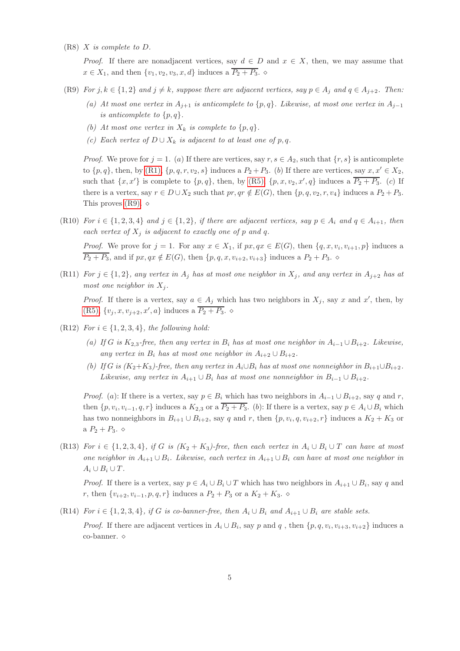<span id="page-4-2"></span>(R8) X *is complete to* D*.*

*Proof.* If there are nonadjacent vertices, say  $d \in D$  and  $x \in X$ , then, we may assume that  $x \in X_1$ , and then  $\{v_1, v_2, v_3, x, d\}$  induces a  $\overline{P_2 + P_3}$ .

- <span id="page-4-4"></span><span id="page-4-0"></span>(R9) *For*  $j, k \in \{1, 2\}$  *and*  $j \neq k$ *, suppose there are adjacent vertices, say*  $p \in A_j$  *and*  $q \in A_{j+2}$ *. Then:* 
	- *(a)* At most one vertex in  $A_{j+1}$  is anticomplete to  $\{p,q\}$ . Likewise, at most one vertex in  $A_{j-1}$ *is anticomplete to*  $\{p, q\}$ *.*
	- *(b)* At most one vertex in  $X_k$  is complete to  $\{p,q\}$ .
	- *(c)* Each vertex of  $D ∪ X_k$  *is adjacent to at least one of*  $p, q$ .

*Proof.* We prove for  $j = 1$ . (a) If there are vertices, say  $r, s \in A_2$ , such that  $\{r, s\}$  is anticomplete to  $\{p,q\}$ , then, by [\(R1\),](#page-3-1)  $\{p,q,r,v_2,s\}$  induces a  $P_2+P_3$ . (b) If there are vertices, say  $x, x' \in X_2$ , such that  $\{x, x'\}$  is complete to  $\{p, q\}$ , then, by [\(R5\),](#page-3-2)  $\{p, x, v_2, x', q\}$  induces a  $\overline{P_2 + P_3}$ . (c) If there is a vertex, say  $r \in D \cup X_2$  such that  $pr, qr \notin E(G)$ , then  $\{p, q, v_2, r, v_4\}$  induces a  $P_2 + P_3$ . This proves  $(R9)$ .  $\diamond$ 

<span id="page-4-5"></span>(R10) *For*  $i \in \{1, 2, 3, 4\}$  *and*  $j \in \{1, 2\}$ *, if there are adjacent vertices, say*  $p \in A_i$  *and*  $q \in A_{i+1}$ *, then each vertex of*  $X_i$  *is adjacent to exactly one of* p *and* q.

*Proof.* We prove for  $j = 1$ . For any  $x \in X_1$ , if  $px, qx \in E(G)$ , then  $\{q, x, v_i, v_{i+1}, p\}$  induces a  $\overline{P_2 + P_3}$ , and if  $px, qx \notin E(G)$ , then  $\{p, q, x, v_{i+2}, v_{i+3}\}$  induces a  $P_2 + P_3$ .

<span id="page-4-8"></span>(R11) *For*  $j \in \{1, 2\}$ *, any vertex in*  $A_j$  *has at most one neighbor in*  $X_j$ *, and any vertex in*  $A_{j+2}$  *has at most one neighbor in*  $X_i$ .

*Proof.* If there is a vertex, say  $a \in A_j$  which has two neighbors in  $X_j$ , say x and x', then, by  $(R5), \{v_j, x, v_{j+2}, x', a\}$  $(R5), \{v_j, x, v_{j+2}, x', a\}$  induces a  $\overline{P_2 + P_3}$ .  $\diamond$ 

- <span id="page-4-9"></span><span id="page-4-7"></span><span id="page-4-6"></span>(R12) *For*  $i \in \{1, 2, 3, 4\}$ *, the following hold:* 
	- *(a)* If G is  $K_{2,3}$ -free, then any vertex in  $B_i$  has at most one neighbor in  $A_{i-1} \cup B_{i+2}$ . Likewise, *any vertex in*  $B_i$  *has at most one neighbor in*  $A_{i+2} \cup B_{i+2}$ *.*
	- *(b)* If G is  $(K_2+K_3)$ -free, then any vertex in  $A_i \cup B_i$  has at most one nonneighbor in  $B_{i+1} \cup B_{i+2}$ . *Likewise, any vertex in*  $A_{i+1} \cup B_i$  *has at most one nonneighbor in*  $B_{i-1} \cup B_{i+2}$ *.*

*Proof.* (a): If there is a vertex, say  $p \in B_i$  which has two neighbors in  $A_{i-1} \cup B_{i+2}$ , say q and r, then  $\{p, v_i, v_{i-1}, q, r\}$  induces a  $K_{2,3}$  or a  $P_2 + P_3$ . (b): If there is a vertex, say  $p \in A_i \cup B_i$  which has two nonneighbors in  $B_{i+1} \cup B_{i+2}$ , say q and r, then  $\{p, v_i, q, v_{i+2}, r\}$  induces a  $K_2 + K_3$  or a  $P_2 + P_3$ .  $\diamond$ 

<span id="page-4-3"></span>(R13) *For*  $i \in \{1, 2, 3, 4\}$ *, if* G *is* ( $K_2 + K_3$ )-free, then each vertex in  $A_i \cup B_i \cup T$  *can have at most one neighbor in* Ai+1 ∪ Bi*. Likewise, each vertex in* Ai+1 ∪ B<sup>i</sup> *can have at most one neighbor in*  $A_i \cup B_i \cup T$ .

*Proof.* If there is a vertex, say  $p \in A_i \cup B_i \cup T$  which has two neighbors in  $A_{i+1} \cup B_i$ , say q and r, then  $\{v_{i+2}, v_{i-1}, p, q, r\}$  induces a  $P_2 + P_3$  or a  $K_2 + K_3$ . ◇

<span id="page-4-1"></span>(R14) *For*  $i \in \{1, 2, 3, 4\}$ *, if* G *is co-banner-free, then*  $A_i \cup B_i$  *and*  $A_{i+1} \cup B_i$  *are stable sets.* 

*Proof.* If there are adjacent vertices in  $A_i \cup B_i$ , say p and q, then  $\{p, q, v_i, v_{i+3}, v_{i+2}\}$  induces a co-banner.  $\diamond$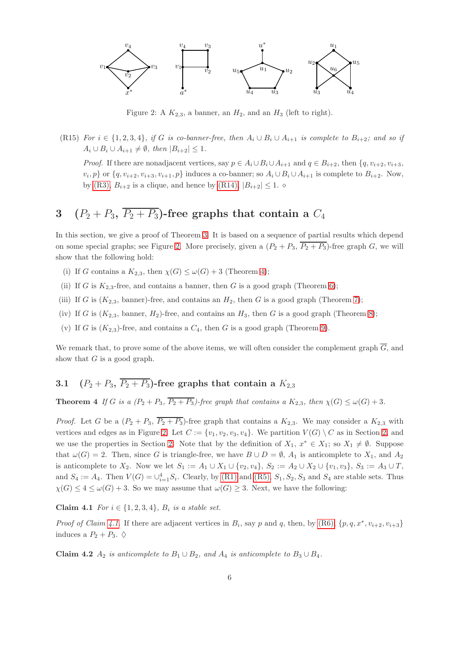

<span id="page-5-1"></span>Figure 2: A  $K_{2,3}$ , a banner, an  $H_2$ , and an  $H_3$  (left to right).

<span id="page-5-5"></span>(R15) *For*  $i \in \{1, 2, 3, 4\}$ *, if* G *is co-banner-free, then*  $A_i \cup B_i \cup A_{i+1}$  *is complete to*  $B_{i+2}$ *; and so if*  $A_i \cup B_i \cup A_{i+1} \neq \emptyset$ , then  $|B_{i+2}| \leq 1$ .

*Proof.* If there are nonadjacent vertices, say  $p \in A_i \cup B_i \cup A_{i+1}$  and  $q \in B_{i+2}$ , then  $\{q, v_{i+2}, v_{i+3}, \dots\}$  $v_i, p$  or  $\{q, v_{i+2}, v_{i+3}, v_{i+1}, p\}$  induces a co-banner; so  $A_i \cup B_i \cup A_{i+1}$  is complete to  $B_{i+2}$ . Now, by [\(R3\),](#page-3-3)  $B_{i+2}$  is a clique, and hence by [\(R14\),](#page-4-1)  $|B_{i+2}| \leq 1$ .  $\diamond$ 

# <span id="page-5-0"></span>3  $(P_2 + P_3, \overline{P_2 + P_3})$ -free graphs that contain a  $C_4$

In this section, we give a proof of Theorem [3.](#page-2-0) It is based on a sequence of partial results which depend on some special graphs; see Figure [2.](#page-5-1) More precisely, given a  $(P_2 + P_3, \overline{P_2 + P_3})$ -free graph G, we will show that the following hold:

- (i) If G contains a  $K_{2,3}$ , then  $\chi(G) \leq \omega(G) + 3$  (Theorem [4\)](#page-5-2);
- (ii) If G is  $K_{2,3}$ -free, and contains a banner, then G is a good graph (Theorem [6\)](#page-9-0);
- (iii) If G is  $(K_{2,3}$ , banner)-free, and contains an  $H_2$ , then G is a good graph (Theorem [7\)](#page-10-0);
- (iv) If G is  $(K_{2,3}$ , banner,  $H_2$ )-free, and contains an  $H_3$ , then G is a good graph (Theorem [8\)](#page-17-0);
- (v) If G is  $(K_{2,3})$ -free, and contains a  $C_4$ , then G is a good graph (Theorem [9\)](#page-18-0).

We remark that, to prove some of the above items, we will often consider the complement graph  $\overline{G}$ , and show that  $G$  is a good graph.

# <span id="page-5-2"></span>3.1  $(P_2 + P_3, \overline{P_2 + P_3})$ -free graphs that contain a  $K_{2,3}$

**Theorem 4** *If* G *is a*  $(P_2 + P_3, \overline{P_2 + P_3})$ -free graph that contains a  $K_{2,3}$ , then  $\chi(G) \leq \omega(G) + 3$ .

*Proof.* Let G be a  $(P_2 + P_3, \overline{P_2 + P_3})$ -free graph that contains a  $K_{2,3}$ . We may consider a  $K_{2,3}$  with vertices and edges as in Figure [2.](#page-5-1) Let  $C := \{v_1, v_2, v_3, v_4\}$ . We partition  $V(G) \setminus C$  as in Section [2,](#page-3-0) and we use the properties in Section [2.](#page-3-0) Note that by the definition of  $X_1, x^* \in X_1$ ; so  $X_1 \neq \emptyset$ . Suppose that  $\omega(G) = 2$ . Then, since G is triangle-free, we have  $B \cup D = \emptyset$ ,  $A_1$  is anticomplete to  $X_1$ , and  $A_2$ is anticomplete to  $X_2$ . Now we let  $S_1 := A_1 \cup X_1 \cup \{v_2, v_4\}, S_2 := A_2 \cup X_2 \cup \{v_1, v_3\}, S_3 := A_3 \cup T$ , and  $S_4 := A_4$ . Then  $V(G) = \bigcup_{i=1}^4 S_i$ . Clearly, by [\(R1\)](#page-3-1) and [\(R5\),](#page-3-2)  $S_1, S_2, S_3$  and  $S_4$  are stable sets. Thus  $\chi(G) \leq 4 \leq \omega(G) + 3$ . So we may assume that  $\omega(G) \geq 3$ . Next, we have the following:

<span id="page-5-3"></span>**Claim 4.1** *For*  $i \in \{1, 2, 3, 4\}$ *, B<sub>i</sub> is a stable set.* 

<span id="page-5-4"></span>*Proof of Claim [4.1](#page-5-3)*. If there are adjacent vertices in  $B_i$ , say p and q, then, by [\(R6\),](#page-3-4)  $\{p, q, x^*, v_{i+2}, v_{i+3}\}$ induces a  $P_2 + P_3$ .  $\diamond$ 

Claim 4.2  $A_2$  *is anticomplete to*  $B_1 \cup B_2$ *, and*  $A_4$  *is anticomplete to*  $B_3 \cup B_4$ *.*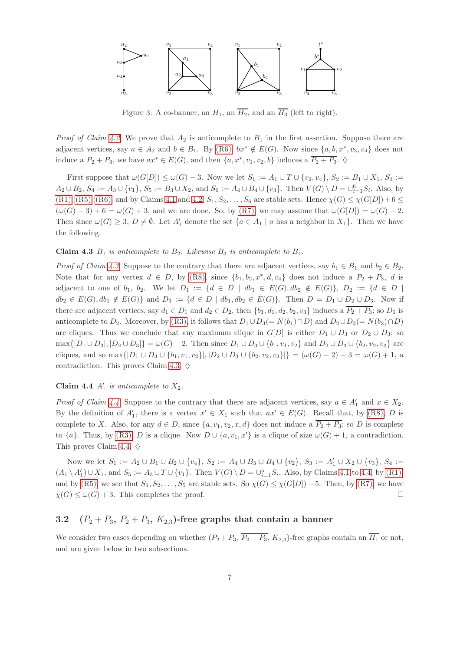

<span id="page-6-2"></span>Figure 3: A co-banner, an  $H_1$ , an  $\overline{H_2}$ , and an  $\overline{H_3}$  (left to right).

*Proof of Claim [4.2](#page-5-4).* We prove that  $A_2$  is anticomplete to  $B_1$  in the first assertion. Suppose there are adjacent vertices, say  $a \in A_2$  and  $b \in B_1$ . By [\(R6\),](#page-3-4)  $bx^* \notin E(G)$ . Now since  $\{a, b, x^*, v_3, v_4\}$  does not induce a  $P_2 + P_3$ , we have  $ax^* \in E(G)$ , and then  $\{a, x^*, v_1, v_2, b\}$  induces a  $\overline{P_2 + P_3}$ .  $\diamond$ 

First suppose that  $\omega(G[D]) \leq \omega(G) - 3$ . Now we let  $S_1 := A_1 \cup T \cup \{v_2, v_4\}, S_2 := B_1 \cup X_1, S_3 :=$  $A_2 \cup B_2$ ,  $S_4 := A_3 \cup \{v_1\}$ ,  $S_5 := B_3 \cup X_2$ , and  $S_6 := A_4 \cup B_4 \cup \{v_3\}$ . Then  $V(G) \setminus D = \bigcup_{i=1}^6 S_i$ . Also, by [\(R1\),](#page-3-1) [\(R5\),](#page-3-2) [\(R6\),](#page-3-4) and by Claims [4.1](#page-5-3) and [4.2,](#page-5-4)  $S_1, S_2, \ldots, S_6$  are stable sets. Hence  $\chi(G) \leq \chi(G[D]) + 6 \leq$  $(\omega(G) - 3) + 6 = \omega(G) + 3$ , and we are done. So, by [\(R7\),](#page-3-5) we may assume that  $\omega(G[D]) = \omega(G) - 2$ . Then since  $\omega(G) \geq 3$ ,  $D \neq \emptyset$ . Let  $A'_1$  denote the set  $\{a \in A_1 \mid a \text{ has a neighbor in } X_1\}$ . Then we have the following.

#### <span id="page-6-0"></span>Claim 4.3  $B_1$  *is anticomplete to*  $B_2$ *. Likewise*  $B_3$  *is anticomplete to*  $B_4$ *.*

*Proof of Claim [4.3](#page-6-0)*. Suppose to the contrary that there are adjacent vertices, say  $b_1 \in B_1$  and  $b_2 \in B_2$ . Note that for any vertex  $d \in D$ , by  $(R8)$ , since  $\{b_1, b_2, x^*, d, v_4\}$  does not induce a  $P_2 + P_3$ , d is adjacent to one of  $b_1, b_2$ . We let  $D_1 := \{d \in D \mid db_1 \in E(G), db_2 \notin E(G)\}, D_2 := \{d \in D \mid db_1 \in E(G)\}$  $db_2 \in E(G), db_1 \notin E(G)$  and  $D_3 := \{d \in D \mid db_1, db_2 \in E(G)\}.$  Then  $D = D_1 \cup D_2 \cup D_3$ . Now if there are adjacent vertices, say  $d_1 \in D_1$  and  $d_2 \in D_2$ , then  $\{b_1, d_1, d_2, b_2, v_3\}$  induces a  $\overline{P_2 + P_3}$ ; so  $D_1$  is anticomplete to D<sub>2</sub>. Moreover, by [\(R3\),](#page-3-3) it follows that  $D_1 \cup D_3(= N(b_1) \cap D)$  and  $D_2 \cup D_3(= N(b_2) \cap D)$ are cliques. Thus we conclude that any maximum clique in  $G[D]$  is either  $D_1 \cup D_3$  or  $D_2 \cup D_3$ ; so  $\max\{|D_1\cup D_3|, |D_2\cup D_3|\} = \omega(G) - 2$ . Then since  $D_1\cup D_3\cup \{b_1, v_1, v_2\}$  and  $D_2\cup D_3\cup \{b_2, v_2, v_3\}$  are cliques, and so max{ $|D_1 \cup D_3 \cup \{b_1, v_1, v_2\}|$ ,  $|D_2 \cup D_3 \cup \{b_2, v_2, v_3\}|$  =  $(\omega(G) - 2) + 3 = \omega(G) + 1$ , a contradiction. This proves Claim [4.3.](#page-6-0)  $\diamond$ 

# <span id="page-6-1"></span>Claim 4.4  $A'_1$  is anticomplete to  $X_2$ .

*Proof of Claim [4.4](#page-6-1)*. Suppose to the contrary that there are adjacent vertices, say  $a \in A'_1$  and  $x \in X_2$ . By the definition of  $A'_1$ , there is a vertex  $x' \in X_1$  such that  $ax' \in E(G)$ . Recall that, by [\(R8\),](#page-4-2) D is complete to X. Also, for any  $d \in D$ , since  $\{a, v_1, v_2, x, d\}$  does not induce a  $\overline{P_2 + P_3}$ ; so D is complete to  $\{a\}$ . Thus, by [\(R3\),](#page-3-3) D is a clique. Now  $D \cup \{a, v_1, x'\}$  is a clique of size  $\omega(G) + 1$ , a contradiction. This proves Claim [4.4.](#page-6-1)  $\diamond$ 

Now we let  $S_1 := A_2 \cup B_1 \cup B_2 \cup \{v_4\}, S_2 := A_4 \cup B_3 \cup B_4 \cup \{v_2\}, S_3 := A'_1 \cup X_2 \cup \{v_3\}, S_4 :=$  $(A_1 \setminus A'_1) \cup X_1$ , and  $S_5 := A_3 \cup T \cup \{v_1\}$ . Then  $V(G) \setminus D = \bigcup_{i=1}^5 S_i$ . Also, by Claims [4.1](#page-5-3) to [4.4,](#page-6-1) by [\(R1\),](#page-3-1) and by [\(R5\),](#page-3-2) we see that  $S_1, S_2, \ldots, S_5$  are stable sets. So  $\chi(G) \leq \chi(G[D]) + 5$ . Then, by [\(R7\),](#page-3-5) we have  $\chi(G) \leq \omega(G) + 3$ . This completes the proof.

# 3.2  $(P_2 + P_3, \overline{P_2 + P_3}, K_{2,3})$ -free graphs that contain a banner

We consider two cases depending on whether  $(P_2 + P_3, \overline{P_2 + P_3}, K_{2,3})$ -free graphs contain an  $\overline{H_1}$  or not, and are given below in two subsections.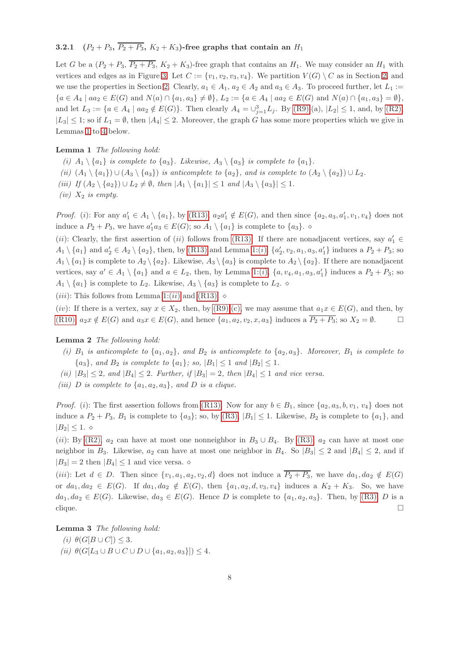## 3.2.1  $(P_2 + P_3, \overline{P_2 + P_3}, K_2 + K_3)$ -free graphs that contain an  $H_1$

Let G be a  $(P_2 + P_3, \overline{P_2 + P_3}, K_2 + K_3)$ -free graph that contains an  $H_1$ . We may consider an  $H_1$  with vertices and edges as in Figure [3.](#page-6-2) Let  $C := \{v_1, v_2, v_3, v_4\}$ . We partition  $V(G) \setminus C$  as in Section [2,](#page-3-0) and we use the properties in Section [2.](#page-3-0) Clearly,  $a_1 \in A_1$ ,  $a_2 \in A_2$  and  $a_3 \in A_3$ . To proceed further, let  $L_1 :=$  ${a \in A_4 \mid aa_2 \in E(G) \text{ and } N(a) \cap \{a_1, a_3\} \neq \emptyset\}, L_2 := {a \in A_4 \mid aa_2 \in E(G) \text{ and } N(a) \cap \{a_1, a_3\} = \emptyset\},$ and let  $L_3 := \{a \in A_4 \mid aa_2 \notin E(G)\}\.$  Then clearly  $A_4 = \bigcup_{j=1}^3 L_j$ . By  $(R9):(a), |L_2| \leq 1$ , and, by  $(R2),$  $|L_3| \leq 1$ ; so if  $L_1 = \emptyset$ , then  $|A_4| \leq 2$ . Moreover, the graph G has some more properties which we give in Lemmas [1](#page-7-0) to [4](#page-8-0) below.

### <span id="page-7-1"></span>Lemma 1 *The following hold:*

- <span id="page-7-2"></span><span id="page-7-0"></span>(*i*)  $A_1 \setminus \{a_1\}$  *is complete to*  $\{a_3\}$ *. Likewise,*  $A_3 \setminus \{a_3\}$  *is complete to*  $\{a_1\}$ *.*
- <span id="page-7-8"></span>*(ii)*  $(A_1 \setminus \{a_1\}) \cup (A_3 \setminus \{a_3\})$  *is anticomplete to*  $\{a_2\}$ *, and is complete to*  $(A_2 \setminus \{a_2\}) \cup L_2$ *.*
- <span id="page-7-7"></span>*(iii) If*  $(A_2 \setminus \{a_2\}) \cup L_2 \neq \emptyset$ , then  $|A_1 \setminus \{a_1\}| \leq 1$  *and*  $|A_3 \setminus \{a_3\}| \leq 1$ .
- *(iv)*  $X_2$  *is empty.*

*Proof.* (*i*): For any  $a'_1 \in A_1 \setminus \{a_1\}$ , by [\(R13\),](#page-4-3)  $a_2a'_1 \notin E(G)$ , and then since  $\{a_2, a_3, a'_1, v_1, v_4\}$  does not induce a  $P_2 + P_3$ , we have  $a'_1a_3 \in E(G)$ ; so  $A_1 \setminus \{a_1\}$  is complete to  $\{a_3\}$ .

(ii): Clearly, the first assertion of (ii) follows from [\(R13\).](#page-4-3) If there are nonadjacent vertices, say  $a'_1 \in$  $A_1 \setminus \{a_1\}$  and  $a'_2 \in A_2 \setminus \{a_2\}$ , then, by [\(R13\)](#page-4-3) and Lemma [1:\(](#page-7-1)*i*),  $\{a'_2, v_2, a_1, a_3, a'_1\}$  induces a  $P_2 + P_3$ ; so  $A_1 \setminus \{a_1\}$  is complete to  $A_2 \setminus \{a_2\}$ . Likewise,  $A_3 \setminus \{a_3\}$  is complete to  $A_2 \setminus \{a_2\}$ . If there are nonadjacent vertices, say  $a' \in A_1 \setminus \{a_1\}$  and  $a \in L_2$ , then, by Lemma [1:\(](#page-7-1)*i*),  $\{a, v_4, a_1, a_3, a'_1\}$  induces a  $P_2 + P_3$ ; so  $A_1 \setminus \{a_1\}$  is complete to  $L_2$ . Likewise,  $A_3 \setminus \{a_3\}$  is complete to  $L_2$ .  $\diamond$ 

(*iii*): This follows from Lemma [1:\(](#page-7-2)*ii*) and [\(R13\).](#page-4-3)  $\diamond$ 

(iv): If there is a vertex, say  $x \in X_2$ , then, by [\(R9\):](#page-4-0)[\(c\),](#page-4-4) we may assume that  $a_1x \in E(G)$ , and then, by [\(R10\),](#page-4-5)  $a_2x \notin E(G)$  and  $a_3x \in E(G)$ , and hence  $\{a_1, a_2, v_2, x, a_3\}$  induces a  $\overline{P_2 + P_3}$ ; so  $X_2 = \emptyset$ .

### <span id="page-7-5"></span>Lemma 2 *The following hold:*

- *(i)*  $B_1$  *is anticomplete to*  $\{a_1, a_2\}$ *, and*  $B_2$  *is anticomplete to*  $\{a_2, a_3\}$ *. Moreover,*  $B_1$  *is complete to*  ${a_3},$  and  $B_2$  *is complete to*  ${a_1};$  *so,*  $|B_1| \le 1$  *and*  $|B_2| \le 1$ *.*
- <span id="page-7-6"></span><span id="page-7-3"></span>*(ii)*  $|B_3| \leq 2$ , and  $|B_4| \leq 2$ . Further, if  $|B_3| = 2$ , then  $|B_4| \leq 1$  and vice versa.
- *(iii)* D *is complete to*  $\{a_1, a_2, a_3\}$ *, and* D *is a clique.*

*Proof.* (i): The first assertion follows from [\(R13\).](#page-4-3) Now for any  $b \in B_1$ , since  $\{a_2, a_3, b, v_1, v_4\}$  does not induce a  $P_2 + P_3$ ,  $B_1$  is complete to  $\{a_3\}$ ; so, by  $(R3)$ ,  $|B_1| \leq 1$ . Likewise,  $B_2$  is complete to  $\{a_1\}$ , and  $|B_2|$  < 1.  $\diamond$ 

(ii): By [\(R2\),](#page-3-6)  $a_2$  can have at most one nonneighbor in  $B_3 \cup B_4$ . By [\(R3\),](#page-3-3)  $a_2$  can have at most one neighbor in  $B_3$ . Likewise,  $a_2$  can have at most one neighbor in  $B_4$ . So  $|B_3| \leq 2$  and  $|B_4| \leq 2$ , and if  $|B_3| = 2$  then  $|B_4| \leq 1$  and vice versa.  $\diamond$ 

(iii): Let  $d \in D$ . Then since  $\{v_1, a_1, a_2, v_2, d\}$  does not induce a  $\overline{P_2 + P_3}$ , we have  $da_1, da_2 \notin E(G)$ or  $da_1, da_2 \in E(G)$ . If  $da_1, da_2 \notin E(G)$ , then  $\{a_1, a_2, d, v_3, v_4\}$  induces a  $K_2 + K_3$ . So, we have  $da_1, da_2 \in E(G)$ . Likewise,  $da_3 \in E(G)$ . Hence D is complete to  $\{a_1, a_2, a_3\}$ . Then, by [\(R3\),](#page-3-3) D is a clique.  $\Box$ 

<span id="page-7-4"></span>Lemma 3 *The following hold:*

- <span id="page-7-9"></span> $(i)$   $\theta(G[B\cup C]) \leq 3$ .
- *(ii)*  $\theta(G[L_3 \cup B \cup C \cup D \cup \{a_1, a_2, a_3\}]) \leq 4.$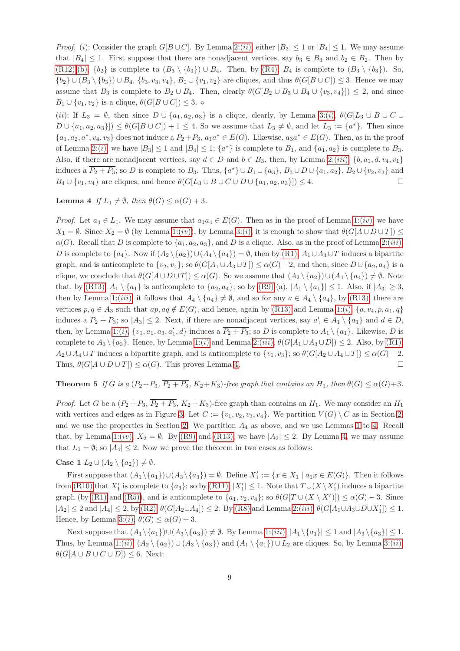*Proof.* (i): Consider the graph  $G[B\cup C]$ . By Lemma [2:\(](#page-7-3)ii), either  $|B_3|\leq 1$  or  $|B_4|\leq 1$ . We may assume that  $|B_4| \leq 1$ . First suppose that there are nonadjacent vertices, say  $b_3 \in B_3$  and  $b_2 \in B_2$ . Then by [\(R12\):](#page-4-6)[\(b\),](#page-4-7)  $\{b_2\}$  is complete to  $(B_3 \setminus \{b_3\}) \cup B_4$ . Then, by [\(R4\),](#page-3-7)  $B_4$  is complete to  $(B_3 \setminus \{b_3\})$ . So,  ${b_2} \cup (B_3 \setminus {b_3}) \cup B_4$ ,  ${b_3, v_3, v_4}$ ,  $B_1 \cup {v_1, v_2}$  are cliques, and thus  $\theta(G[B \cup C]) \leq 3$ . Hence we may assume that  $B_3$  is complete to  $B_2 \cup B_4$ . Then, clearly  $\theta(G[B_2 \cup B_3 \cup B_4 \cup \{v_3, v_4\}]) \leq 2$ , and since  $B_1 \cup \{v_1, v_2\}$  is a clique,  $\theta(G[B \cup C]) \leq 3$ . ◇

(ii): If  $L_3 = \emptyset$ , then since  $D \cup \{a_1, a_2, a_3\}$  is a clique, clearly, by Lemma [3:\(](#page-7-4)i),  $\theta(G|L_3 \cup B \cup C \cup C)$  $D \cup \{a_1, a_2, a_3\}$   $\leq \theta(G[B \cup C]) + 1 \leq 4$ . So we assume that  $L_3 \neq \emptyset$ , and let  $L_3 := \{a^*\}$ . Then since  ${a_1, a_2, a^*, v_4, v_3}$  does not induce a  $P_2 + P_3$ ,  $a_1a^* \in E(G)$ . Likewise,  $a_3a^* \in E(G)$ . Then, as in the proof of Lemma [2:\(](#page-7-5)*i*), we have  $|B_3| \leq 1$  and  $|B_4| \leq 1$ ;  $\{a^*\}$  is complete to  $B_1$ , and  $\{a_1, a_2\}$  is complete to  $B_3$ . Also, if there are nonadjacent vertices, say  $d \in D$  and  $b \in B_3$ , then, by Lemma [2:\(](#page-7-6)iii),  $\{b, a_1, d, v_4, v_1\}$ induces a  $\overline{P_2+P_3}$ ; so D is complete to  $B_3$ . Thus,  $\{a^*\}\cup B_1\cup \{a_3\}$ ,  $B_3\cup D\cup \{a_1,a_2\}$ ,  $B_2\cup \{v_2,v_3\}$  and  $B_4 \cup \{v_1, v_4\}$  are cliques, and hence  $\theta(G[L_3 \cup B \cup C \cup D \cup \{a_1, a_2, a_3\}]) \leq 4.$ 

<span id="page-8-0"></span>**Lemma 4** *If*  $L_1 \neq \emptyset$ *, then*  $\theta(G) \leq \alpha(G) + 3$ *.* 

*Proof.* Let  $a_4 \in L_1$ . We may assume that  $a_1a_4 \in E(G)$ . Then as in the proof of Lemma [1:\(](#page-7-7)*iv*), we have  $X_1 = \emptyset$ . Since  $X_2 = \emptyset$  (by Lemma [1:\(](#page-7-7)iv)), by Lemma [3:\(](#page-7-4)i), it is enough to show that  $\theta(G[A \cup D \cup T]) \leq$  $\alpha(G)$ . Recall that D is complete to  $\{a_1, a_2, a_3\}$ , and D is a clique. Also, as in the proof of Lemma [2:\(](#page-7-6)*iii*), D is complete to  $\{a_4\}$ . Now if  $(A_2 \setminus \{a_2\}) \cup (A_4 \setminus \{a_4\}) = \emptyset$ , then by  $(R1)$ ,  $A_1 \cup A_3 \cup T$  induces a bipartite graph, and is anticomplete to  $\{v_2, v_4\}$ ; so  $\theta(G[A_1 \cup A_3 \cup T]) \leq \alpha(G)-2$ , and then, since  $D \cup \{a_2, a_4\}$  is a clique, we conclude that  $\theta(G[A\cup D\cup T]) \leq \alpha(G)$ . So we assume that  $(A_2 \setminus \{a_2\}) \cup (A_4 \setminus \{a_4\}) \neq \emptyset$ . Note that, by [\(R13\),](#page-4-3)  $A_1 \setminus \{a_1\}$  is anticomplete to  $\{a_2, a_4\}$ ; so by [\(R9\):](#page-4-0)(a),  $|A_1 \setminus \{a_1\}| \leq 1$ . Also, if  $|A_3| \geq 3$ , then by Lemma [1:\(](#page-7-8)*iii*), it follows that  $A_4 \setminus \{a_4\} \neq \emptyset$ , and so for any  $a \in A_4 \setminus \{a_4\}$ , by [\(R13\),](#page-4-3) there are vertices  $p, q \in A_3$  such that  $ap, aq \notin E(G)$ , and hence, again by [\(R13\)](#page-4-3) and Lemma [1:\(](#page-7-1)i),  $\{a, v_4, p, a_1, q\}$ induces a  $P_2 + P_3$ ; so  $|A_3| \leq 2$ . Next, if there are nonadjacent vertices, say  $a'_1 \in A_1 \setminus \{a_1\}$  and  $d \in D$ , then, by Lemma [1:\(](#page-7-1)*i*),  $\{v_1, a_1, a_3, a'_1, d\}$  induces a  $\overline{P_2 + P_3}$ ; so D is complete to  $A_1 \setminus \{a_1\}$ . Likewise, D is complete to  $A_3 \setminus \{a_3\}$ . Hence, by Lemma [1:\(](#page-7-1)i) and Lemma [2:\(](#page-7-6)iii),  $\theta(G[A_1 \cup A_3 \cup D]) \leq 2$ . Also, by [\(R1\),](#page-3-1)  $A_2 \cup A_4 \cup T$  induces a bipartite graph, and is anticomplete to  $\{v_1, v_3\}$ ; so  $\theta(G[A_2 \cup A_4 \cup T]) \leq \alpha(G) - 2$ . Thus,  $\theta(G[A \cup D \cup T]) \leq \alpha(G)$ . This proves Lemma [4.](#page-8-0)

# <span id="page-8-2"></span>**Theorem 5** *If* G *is a*  $(P_2+P_3, \overline{P_2+P_3}, K_2+K_3)$ *-free graph that contains an*  $H_1$ *, then*  $\theta(G) \leq \alpha(G)+3$ *.*

*Proof.* Let G be a  $(P_2 + P_3, \overline{P_2 + P_3}, K_2 + K_3)$ -free graph than contains an  $H_1$ . We may consider an  $H_1$ with vertices and edges as in Figure [3.](#page-6-2) Let  $C := \{v_1, v_2, v_3, v_4\}$ . We partition  $V(G) \setminus C$  as in Section [2,](#page-3-0) and we use the properties in Section [2.](#page-3-0) We partition  $A_4$  as above, and we use Lemmas [1](#page-7-0) to [4.](#page-8-0) Recall that, by Lemma [1:\(](#page-7-7)iv),  $X_2 = \emptyset$ . By [\(R9\)](#page-4-0) and [\(R13\),](#page-4-3) we have  $|A_2| \le 2$ . By Lemma [4,](#page-8-0) we may assume that  $L_1 = \emptyset$ ; so  $|A_4| \leq 2$ . Now we prove the theorem in two cases as follows:

**Case 1**  $L_2 \cup (A_2 \setminus \{a_2\}) \neq \emptyset$ .

First suppose that  $(A_1 \setminus \{a_1\}) \cup (A_3 \setminus \{a_3\}) = \emptyset$ . Define  $X'_1 := \{x \in X_1 \mid a_1x \in E(G)\}\$ . Then it follows from [\(R10\)](#page-4-5) that  $X'_1$  is complete to  $\{a_3\}$ ; so by [\(R11\),](#page-4-8)  $|X'_1| \leq 1$ . Note that  $T \cup (X \setminus X'_1)$  induces a bipartite graph (by [\(R1\)](#page-3-1) and [\(R5\)\)](#page-3-2), and is anticomplete to  $\{a_1, v_2, v_4\}$ ; so  $\theta(G[T \cup (X \setminus X'_1)]) \leq \alpha(G) - 3$ . Since  $|A_2| \le 2$  and  $|A_4| \le 2$ , by  $(R2)$ ,  $\theta(G[A_2 \cup A_4]) \le 2$ . By  $(R8)$  and Lemma  $2:(iii)$ ,  $\theta(G[A_1 \cup A_3 \cup D \cup X'_1]) \le 1$ . Hence, by Lemma [3:\(](#page-7-4)*i*),  $\theta(G) \leq \alpha(G) + 3$ .

<span id="page-8-1"></span>Next suppose that  $(A_1 \setminus \{a_1\}) \cup (A_3 \setminus \{a_3\}) \neq \emptyset$ . By Lemma 1: $(iii)$ ,  $|A_1 \setminus \{a_1\}| \leq 1$  and  $|A_3 \setminus \{a_3\}| \leq 1$ . Thus, by Lemma [1:\(](#page-7-2)ii),  $(A_2 \setminus \{a_2\}) \cup (A_3 \setminus \{a_3\})$  and  $(A_1 \setminus \{a_1\}) \cup L_2$  are cliques. So, by Lemma [3:\(](#page-7-9)ii),  $\theta(G[A \cup B \cup C \cup D]) \leq 6.$  Next: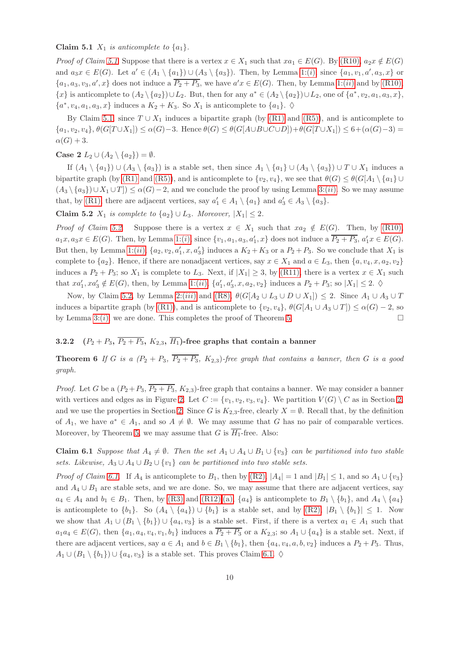Claim 5.1  $X_1$  *is anticomplete to*  $\{a_1\}$ *.* 

*Proof of Claim* [5.1](#page-8-1). Suppose that there is a vertex  $x \in X_1$  such that  $xa_1 \in E(G)$ . By [\(R10\),](#page-4-5)  $a_2x \notin E(G)$ and  $a_3x \in E(G)$ . Let  $a' \in (A_1 \setminus \{a_1\}) \cup (A_3 \setminus \{a_3\})$ . Then, by Lemma [1:\(](#page-7-1)*i*), since  $\{a_1, v_1, a', a_3, x\}$  or  $\{a_1, a_3, v_3, a', x\}$  does not induce a  $\overline{P_2 + P_3}$ , we have  $a'x \in E(G)$ . Then, by Lemma [1:\(](#page-7-2)*ii*) and by [\(R10\),](#page-4-5)  ${x}$  is anticomplete to  $(A_2 \setminus \{a_2\}) \cup L_2$ . But, then for any  $a^* \in (A_2 \setminus \{a_2\}) \cup L_2$ , one of  $\{a^*, v_2, a_1, a_3, x\}$ ,  $\{a^*, v_4, a_1, a_3, x\}$  induces a  $K_2 + K_3$ . So  $X_1$  is anticomplete to  $\{a_1\}$ .  $\diamond$ 

By Claim [5.1,](#page-8-1) since  $T \cup X_1$  induces a bipartite graph (by [\(R1\)](#page-3-1) and [\(R5\)\)](#page-3-2), and is anticomplete to  ${a_1, v_2, v_4}, \theta(G[T \cup X_1]) \leq \alpha(G) - 3.$  Hence  $\theta(G) \leq \theta(G[\text{A} \cup B \cup C \cup D]) + \theta(G[T \cup X_1]) \leq 6 + (\alpha(G) - 3) =$  $\alpha(G) + 3.$ 

Case 2  $L_2 \cup (A_2 \setminus \{a_2\}) = \emptyset$ *.* 

If  $(A_1 \setminus \{a_1\}) \cup (A_3 \setminus \{a_3\})$  is a stable set, then since  $A_1 \setminus \{a_1\} \cup (A_3 \setminus \{a_3\}) \cup T \cup X_1$  induces a bipartite graph (by [\(R1\)](#page-3-1) and [\(R5\)\)](#page-3-2), and is anticomplete to  $\{v_2, v_4\}$ , we see that  $\theta(G) \leq \theta(G[A_1 \setminus \{a_1\} \cup$  $(A_3 \setminus \{a_3\}) \cup X_1 \cup T]$  ≤  $\alpha(G) - 2$ , and we conclude the proof by using Lemma [3:\(](#page-7-9)*ii*). So we may assume that, by [\(R1\),](#page-3-1) there are adjacent vertices, say  $a'_1 \in A_1 \setminus \{a_1\}$  and  $a'_3 \in A_3 \setminus \{a_3\}$ .

<span id="page-9-1"></span>Claim 5.2  $X_1$  *is complete to*  $\{a_2\} \cup L_3$ *. Moreover,*  $|X_1| \leq 2$ *.* 

*Proof of Claim [5.2](#page-9-1).* Suppose there is a vertex  $x \in X_1$  such that  $xa_2 \notin E(G)$ . Then, by [\(R10\),](#page-4-5)  $a_1x, a_3x \in E(G)$ . Then, by Lemma [1:\(](#page-7-1)*i*), since  $\{v_1, a_1, a_3, a'_1, x\}$  does not induce a  $\overline{P_2 + P_3}$ ,  $a'_1x \in E(G)$ . But then, by Lemma [1:\(](#page-7-2)*ii*),  $\{a_2, v_2, a'_1, x, a'_3\}$  induces a  $K_2 + K_3$  or a  $P_2 + P_3$ . So we conclude that  $X_1$  is complete to  ${a_2}$ . Hence, if there are nonadjacent vertices, say  $x \in X_1$  and  $a \in L_3$ , then  ${a, v_4, x, a_2, v_2}$ induces a  $P_2 + P_3$ ; so  $X_1$  is complete to  $L_3$ . Next, if  $|X_1| \geq 3$ , by [\(R11\),](#page-4-8) there is a vertex  $x \in X_1$  such that  $xa'_1, xa'_3 \notin E(G)$ , then, by Lemma [1:\(](#page-7-2)*ii*),  $\{a'_1, a'_3, x, a_2, v_2\}$  induces a  $P_2 + P_3$ ; so  $|X_1| \leq 2$ .  $\diamond$ 

Now, by Claim [5.2,](#page-9-1) by Lemma [2:\(](#page-7-6)iii) and [\(R8\),](#page-4-2)  $\theta(G[A_2 \cup L_3 \cup D \cup X_1]) \leq 2$ . Since  $A_1 \cup A_3 \cup T$ induces a bipartite graph (by [\(R1\)\)](#page-3-1), and is anticomplete to  $\{v_2, v_4\}$ ,  $\theta(G[A_1 \cup A_3 \cup T]) \leq \alpha(G) - 2$ , so by Lemma [3:\(](#page-7-4)*i*), we are done. This completes the proof of Theorem [5.](#page-8-2)

# <span id="page-9-0"></span>3.2.2  $(P_2 + P_3, \overline{P_2 + P_3}, K_{2,3}, \overline{H_1})$ -free graphs that contain a banner

**Theorem 6** If G is a  $(P_2 + P_3, \overline{P_2 + P_3}, K_{2,3})$ -free graph that contains a banner, then G is a good *graph.*

*Proof.* Let G be a  $(P_2+P_3, \overline{P_2+P_3}, K_{2,3})$ -free graph that contains a banner. We may consider a banner with vertices and edges as in Figure [2.](#page-5-1) Let  $C := \{v_1, v_2, v_3, v_4\}$ . We partition  $V(G) \setminus C$  as in Section [2,](#page-3-0) and we use the properties in Section [2.](#page-3-0) Since G is  $K_{2,3}$ -free, clearly  $X = \emptyset$ . Recall that, by the definition of  $A_1$ , we have  $a^* \in A_1$ , and so  $A \neq \emptyset$ . We may assume that G has no pair of comparable vertices. Moreover, by Theorem [5,](#page-8-2) we may assume that G is  $\overline{H_1}$ -free. Also:

<span id="page-9-2"></span>Claim 6.1 *Suppose that*  $A_4 \neq \emptyset$ . Then the set  $A_1 \cup A_4 \cup B_1 \cup \{v_3\}$  can be partitioned into two stable *sets. Likewise,*  $A_3 \cup A_4 \cup B_2 \cup \{v_1\}$  *can be partitioned into two stable sets.* 

*Proof of Claim [6.1](#page-9-2)*. If  $A_4$  is anticomplete to  $B_1$ , then by [\(R2\),](#page-3-6)  $|A_4| = 1$  and  $|B_1| \le 1$ , and so  $A_1 \cup \{v_3\}$ and  $A_4 \cup B_1$  are stable sets, and we are done. So, we may assume that there are adjacent vertices, say  $a_4 \in A_4$  and  $b_1 \in B_1$ . Then, by [\(R3\)](#page-3-3) and [\(R12\)](#page-4-6)[:\(a\),](#page-4-9)  $\{a_4\}$  is anticomplete to  $B_1 \setminus \{b_1\}$ , and  $A_4 \setminus \{a_4\}$ is anticomplete to  $\{b_1\}$ . So  $(A_4 \setminus \{a_4\}) \cup \{b_1\}$  is a stable set, and by  $(R2)$ ,  $|B_1 \setminus \{b_1\}| \leq 1$ . Now we show that  $A_1 \cup (B_1 \setminus \{b_1\}) \cup \{a_4, v_3\}$  is a stable set. First, if there is a vertex  $a_1 \in A_1$  such that  $a_1a_4 \in E(G)$ , then  $\{a_1, a_4, v_4, v_1, b_1\}$  induces a  $\overline{P_2 + P_3}$  or a  $K_{2,3}$ ; so  $A_1 \cup \{a_4\}$  is a stable set. Next, if there are adjacent vertices, say  $a \in A_1$  and  $b \in B_1 \setminus \{b_1\}$ , then  $\{a_4, v_4, a, b, v_2\}$  induces a  $P_2 + P_3$ . Thus,  $A_1 \cup (B_1 \setminus \{b_1\}) \cup \{a_4, v_3\}$  is a stable set. This proves Claim [6.1.](#page-9-2)  $\diamond$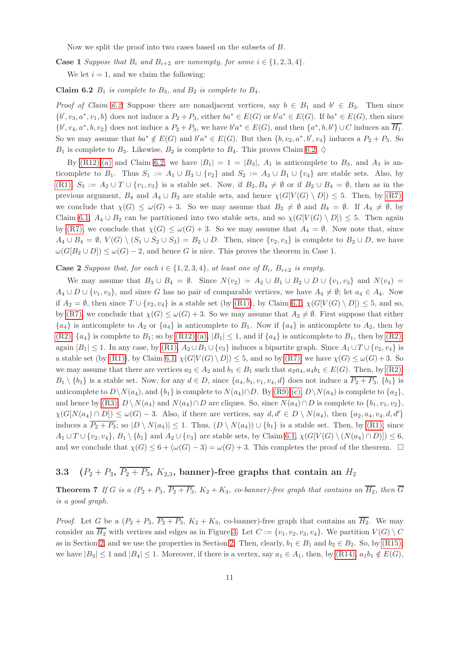Now we split the proof into two cases based on the subsets of B.

<span id="page-10-1"></span>**Case 1** Suppose that  $B_i$  and  $B_{i+2}$  are nonempty, for some  $i \in \{1, 2, 3, 4\}$ .

We let  $i = 1$ , and we claim the following:

Claim 6.2  $B_1$  *is complete to*  $B_3$ *, and*  $B_2$  *is complete to*  $B_4$ *.* 

*Proof of Claim [6.2](#page-10-1).* Suppose there are nonadjacent vertices, say  $b \in B_1$  and  $b' \in B_3$ . Then since  $\{b', v_3, a^*, v_1, b\}$  does not induce a  $P_2 + P_3$ , either  $ba^* \in E(G)$  or  $b'a^* \in E(G)$ . If  $ba^* \in E(G)$ , then since  $\{b', v_4, a^*, b, v_2\}$  does not induce a  $P_2 + P_3$ , we have  $b'a^* \in E(G)$ , and then  $\{a^*, b, b'\} \cup C$  induces an  $\overline{H_1}$ . So we may assume that  $ba^* \notin E(G)$  and  $b'a^* \in E(G)$ . But then  $\{b, v_2, a^*, b', v_4\}$  induces a  $P_2 + P_3$ . So  $B_1$  is complete to  $B_3$ . Likewise,  $B_2$  is complete to  $B_4$ . This proves Claim [6.2.](#page-10-1)  $\diamond$ 

By [\(R12\)](#page-4-6)[:\(a\)](#page-4-9) and Claim [6.2,](#page-10-1) we have  $|B_1| = 1 = |B_3|$ ,  $A_1$  is anticomplete to  $B_3$ , and  $A_3$  is anticomplete to  $B_1$ . Thus  $S_1 := A_1 \cup B_3 \cup \{v_2\}$  and  $S_2 := A_3 \cup B_1 \cup \{v_4\}$  are stable sets. Also, by [\(R1\),](#page-3-1)  $S_3 := A_2 \cup T \cup \{v_1, v_3\}$  is a stable set. Now, if  $B_2, B_4 \neq \emptyset$  or if  $B_2 \cup B_4 = \emptyset$ , then as in the previous argument,  $B_4$  and  $A_4 \cup B_2$  are stable sets, and hence  $\chi(G[V(G) \setminus D]) \leq 5$ . Then, by [\(R7\),](#page-3-5) we conclude that  $\chi(G) \leq \omega(G) + 3$ . So we may assume that  $B_2 \neq \emptyset$  and  $B_4 = \emptyset$ . If  $A_4 \neq \emptyset$ , by Claim [6.1,](#page-9-2)  $A_4 \cup B_2$  can be partitioned into two stable sets, and so  $\chi(G[V(G \setminus D]) \leq 5$ . Then again by [\(R7\),](#page-3-5) we conclude that  $\chi(G) \leq \omega(G) + 3$ . So we may assume that  $A_4 = \emptyset$ . Now note that, since  $A_4 \cup B_4 = \emptyset$ ,  $V(G) \setminus (S_1 \cup S_2 \cup S_3) = B_2 \cup D$ . Then, since  $\{v_2, v_3\}$  is complete to  $B_2 \cup D$ , we have  $\omega(G[B_2 \cup D]) \leq \omega(G) - 2$ , and hence G is nice. This proves the theorem in Case 1.

### **Case 2** Suppose that, for each  $i \in \{1, 2, 3, 4\}$ , at least one of  $B_i$ ,  $B_{i+2}$  is empty.

We may assume that  $B_3 \cup B_4 = \emptyset$ . Since  $N(v_2) = A_2 \cup B_1 \cup B_2 \cup D \cup \{v_1, v_3\}$  and  $N(v_4) =$  $A_4 \cup D \cup \{v_1, v_3\}$ , and since G has no pair of comparable vertices, we have  $A_4 \neq \emptyset$ ; let  $a_4 \in A_4$ . Now if  $A_2 = \emptyset$ , then since  $T \cup \{v_2, v_4\}$  is a stable set (by [\(R1\)\)](#page-3-1), by Claim [6.1,](#page-9-2)  $\chi(G[V(G) \setminus D]) \leq 5$ , and so, by [\(R7\),](#page-3-5) we conclude that  $\chi(G) \leq \omega(G) + 3$ . So we may assume that  $A_2 \neq \emptyset$ . First suppose that either  ${a_4}$  is anticomplete to  $A_2$  or  ${a_4}$  is anticomplete to  $B_1$ . Now if  ${a_4}$  is anticomplete to  $A_2$ , then by  $(R2)$ ,  $\{a_4\}$  is complete to  $B_1$ ; so by  $(R12):(a), |B_1| \leq 1$  $(R12):(a), |B_1| \leq 1$  $(R12):(a), |B_1| \leq 1$ , and if  $\{a_4\}$  is anticomplete to  $B_1$ , then by  $(R2)$ , again  $|B_1| \leq 1$ . In any case, by  $(R1)$ ,  $A_2 \cup B_1 \cup \{v_3\}$  induces a bipartite graph. Since  $A_1 \cup T \cup \{v_2, v_4\}$  is a stable set (by [\(R1\)\)](#page-3-1), by Claim [6.1,](#page-9-2)  $\chi(G[V(G) \setminus D]) \leq 5$ , and so by [\(R7\),](#page-3-5) we have  $\chi(G) \leq \omega(G) + 3$ . So we may assume that there are vertices  $a_2 \in A_2$  and  $b_1 \in B_1$  such that  $a_2a_4, a_4b_1 \in E(G)$ . Then, by [\(R2\),](#page-3-6)  $B_1 \setminus \{b_1\}$  is a stable set. Now, for any  $d \in D$ , since  $\{a_4, b_1, v_1, v_4, d\}$  does not induce a  $\overline{P_2 + P_3}$ ,  $\{b_1\}$  is anticomplete to  $D\setminus N(a_4)$ , and  $\{b_1\}$  is complete to  $N(a_4)\cap D$ . By  $(R9):(c)$ ,  $D\setminus N(a_4)$  is complete to  $\{a_2\}$ , and hence by [\(R3\),](#page-3-3)  $D \setminus N(a_4)$  and  $N(a_4) \cap D$  are cliques. So, since  $N(a_4) \cap D$  is complete to  $\{b_1, v_1, v_2\}$ ,  $\chi(G[N(a_4) \cap D]) \leq \omega(G) - 3$ . Also, if there are vertices, say  $d, d' \in D \setminus N(a_4)$ , then  $\{a_2, a_4, v_4, d, d'\}$ induces a  $\overline{P_2+P_3}$ ; so  $|D \setminus N(a_4)| \leq 1$ . Thus,  $(D \setminus N(a_4)) \cup \{b_1\}$  is a stable set. Then, by [\(R1\),](#page-3-1) since  $A_1 \cup T \cup \{v_2, v_4\}, B_1 \setminus \{b_1\}$  and  $A_2 \cup \{v_3\}$  are stable sets, by Claim [6.1,](#page-9-2)  $\chi(G[V(G) \setminus (N(a_4) \cap D)]) \leq 6$ , and we conclude that  $\chi(G) \leq 6 + (\omega(G) - 3) = \omega(G) + 3$ . This completes the proof of the theorem.  $\Box$ 

# <span id="page-10-0"></span>3.3  $(P_2 + P_3, \overline{P_2 + P_3}, K_{2,3}$ , banner)-free graphs that contain an  $H_2$

**Theorem 7** If G is a  $(P_2 + P_3, \overline{P_2 + P_3}, K_2 + K_3, co-banner)$ -free graph that contains an  $\overline{H_2}$ , then  $\overline{G}$ *is a good graph.*

*Proof.* Let G be a  $(P_2 + P_3, \overline{P_2 + P_3}, K_2 + K_3$ , co-banner)-free graph that contains an  $\overline{H_2}$ . We may consider an  $\overline{H_2}$  with vertices and edges as in Figure [3.](#page-6-2) Let  $C := \{v_1, v_2, v_3, v_4\}$ . We partition  $V(G) \setminus C$ as in Section [2,](#page-3-0) and we use the properties in Section [2.](#page-3-0) Then, clearly,  $b_1 \in B_1$  and  $b_2 \in B_2$ . So, by [\(R15\),](#page-5-5) we have  $|B_3| \leq 1$  and  $|B_4| \leq 1$ . Moreover, if there is a vertex, say  $a_1 \in A_1$ , then, by  $(R14)$ ,  $a_1b_1 \notin E(G)$ ,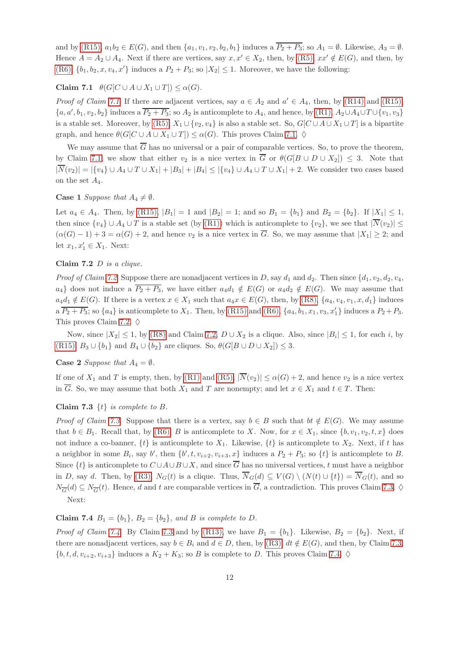<span id="page-11-0"></span>and by [\(R15\),](#page-5-5)  $a_1b_2 \in E(G)$ , and then  $\{a_1, v_1, v_2, b_2, b_1\}$  induces a  $\overline{P_2 + P_3}$ ; so  $A_1 = \emptyset$ . Likewise,  $A_3 = \emptyset$ . Hence  $A = A_2 \cup A_4$ . Next if there are vertices, say  $x, x' \in X_2$ , then, by [\(R5\),](#page-3-2)  $xx' \notin E(G)$ , and then, by [\(R6\),](#page-3-4)  $\{b_1, b_2, x, v_4, x'\}$  induces a  $P_2 + P_3$ ; so  $|X_2| \leq 1$ . Moreover, we have the following:

## Claim 7.1  $\theta(G[C \cup A \cup X_1 \cup T]) \leq \alpha(G)$ *.*

*Proof of Claim [7.1](#page-11-0)*. If there are adjacent vertices, say  $a \in A_2$  and  $a' \in A_4$ , then, by [\(R14\)](#page-4-1) and [\(R15\),](#page-5-5)  $\{a, a', b_1, v_2, b_2\}$  induces a  $\overline{P_2 + P_3}$ ; so  $A_2$  is anticomplete to  $A_4$ , and hence, by  $(R1)$ ,  $A_2 \cup A_4 \cup T \cup \{v_1, v_3\}$ is a stable set. Moreover, by [\(R5\),](#page-3-2)  $X_1 \cup \{v_2, v_4\}$  is also a stable set. So,  $G[C \cup A \cup X_1 \cup T]$  is a bipartite graph, and hence  $\theta(G[C \cup A \cup X_1 \cup T]) \leq \alpha(G)$ . This proves Claim [7.1.](#page-11-0)  $\diamond$ 

We may assume that  $\overline{G}$  has no universal or a pair of comparable vertices. So, to prove the theorem, by Claim [7.1,](#page-11-0) we show that either  $v_2$  is a nice vertex in  $\overline{G}$  or  $\theta(G[B \cup D \cup X_2]) \leq 3$ . Note that  $|\overline{N}(v_2)| = |\{v_4\} \cup A_4 \cup T \cup X_1| + |B_3| + |B_4| \leq |\{v_4\} \cup A_4 \cup T \cup X_1| + 2$ . We consider two cases based on the set  $A_4$ .

### **Case 1** *Suppose that*  $A_4 \neq \emptyset$ *.*

Let  $a_4 \in A_4$ . Then, by [\(R15\),](#page-5-5)  $|B_1| = 1$  and  $|B_2| = 1$ ; and so  $B_1 = \{b_1\}$  and  $B_2 = \{b_2\}$ . If  $|X_1| \leq 1$ , then since  $\{v_4\} \cup A_4 \cup T$  is a stable set (by [\(R1\)\)](#page-3-1) which is anticomplete to  $\{v_2\}$ , we see that  $|\overline{N}(v_2)| \leq$  $(\alpha(G)-1)+3=\alpha(G)+2$ , and hence  $v_2$  is a nice vertex in  $\overline{G}$ . So, we may assume that  $|X_1|\geq 2$ ; and let  $x_1, x'_1 \in X_1$ . Next:

#### <span id="page-11-1"></span>Claim 7.2 D *is a clique.*

*Proof of Claim [7.2](#page-11-1).* Suppose there are nonadjacent vertices in D, say  $d_1$  and  $d_2$ . Then since  $\{d_1, v_2, d_2, v_4,$  $a_4$ } does not induce a  $\overline{P_2+P_3}$ , we have either  $a_4d_1 \notin E(G)$  or  $a_4d_2 \notin E(G)$ . We may assume that  $a_4d_1 \notin E(G)$ . If there is a vertex  $x \in X_1$  such that  $a_4x \in E(G)$ , then, by [\(R8\),](#page-4-2)  $\{a_4, v_4, v_1, x, d_1\}$  induces a  $\overline{P_2+P_3}$ ; so  $\{a_4\}$  is anticomplete to  $X_1$ . Then, by [\(R15\)](#page-5-5) and [\(R6\),](#page-3-4)  $\{a_4, b_1, x_1, v_3, x'_1\}$  induces a  $P_2+P_3$ . This proves Claim [7.2.](#page-11-1)  $\diamond$ 

Now, since  $|X_2| \leq 1$ , by [\(R8\)](#page-4-2) and Claim [7.2,](#page-11-1)  $D \cup X_2$  is a clique. Also, since  $|B_i| \leq 1$ , for each i, by [\(R15\),](#page-5-5)  $B_3 \cup \{b_1\}$  and  $B_4 \cup \{b_2\}$  are cliques. So,  $\theta(G[B \cup D \cup X_2]) \leq 3$ .

### **Case 2** *Suppose that*  $A_4 = \emptyset$ *.*

<span id="page-11-2"></span>If one of  $X_1$  and T is empty, then, by [\(R1\)](#page-3-1) and [\(R5\),](#page-3-2)  $|\overline{N}(v_2)| \le \alpha(G) + 2$ , and hence  $v_2$  is a nice vertex in  $\overline{G}$ . So, we may assume that both  $X_1$  and T are nonempty; and let  $x \in X_1$  and  $t \in T$ . Then:

### Claim 7.3 {t} *is complete to* B*.*

*Proof of Claim* [7.3](#page-11-2). Suppose that there is a vertex, say  $b \in B$  such that  $bt \notin E(G)$ . We may assume that  $b \in B_1$ . Recall that, by [\(R6\),](#page-3-4) B is anticomplete to X. Now, for  $x \in X_1$ , since  $\{b, v_1, v_2, t, x\}$  does not induce a co-banner,  $\{t\}$  is anticomplete to  $X_1$ . Likewise,  $\{t\}$  is anticomplete to  $X_2$ . Next, if t has a neighbor in some  $B_i$ , say b', then  $\{b', t, v_{i+2}, v_{i+3}, x\}$  induces a  $P_2 + P_3$ ; so  $\{t\}$  is anticomplete to B. Since  $\{t\}$  is anticomplete to  $C \cup A \cup B \cup X$ , and since  $\overline{G}$  has no universal vertices, t must have a neighbor in D, say d. Then, by [\(R3\),](#page-3-3)  $N_G(t)$  is a clique. Thus,  $\overline{N}_G(d) \subseteq V(G) \setminus (N(t) \cup \{t\}) = \overline{N}_G(t)$ , and so  $N_{\overline{G}}(d) \subseteq N_{\overline{G}}(t)$ . Hence, d and t are comparable vertices in  $\overline{G}$ , a contradiction. This proves Claim [7.3.](#page-11-2)  $\diamond$ Next:

## <span id="page-11-3"></span>Claim 7.4  $B_1 = \{b_1\}$ ,  $B_2 = \{b_2\}$ , and B is complete to D.

*Proof of Claim [7.4](#page-11-3).* By Claim [7.3](#page-11-2) and by [\(R13\),](#page-4-3) we have  $B_1 = \{b_1\}$ . Likewise,  $B_2 = \{b_2\}$ . Next, if there are nonadjacent vertices, say  $b \in B_i$  and  $d \in D$ , then, by [\(R3\),](#page-3-3)  $dt \notin E(G)$ , and then, by Claim [7.3,](#page-11-2)  $\{b, t, d, v_{i+2}, v_{i+3}\}\$  induces a  $K_2 + K_3$ ; so B is complete to D. This proves Claim [7.4.](#page-11-3)  $\diamond$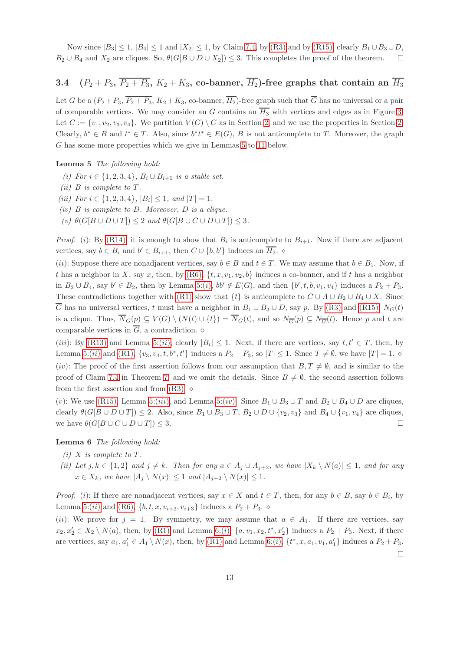Now since  $|B_3| \leq 1$ ,  $|B_4| \leq 1$  and  $|X_2| \leq 1$ , by Claim [7.4,](#page-11-3) by [\(R3\)](#page-3-3) and by [\(R15\),](#page-5-5) clearly  $B_1 \cup B_3 \cup D$ ,  $B_2 \cup B_4$  and  $X_2$  are cliques. So,  $\theta(G[B \cup D \cup X_2]) \leq 3$ . This completes the proof of the theorem.  $\square$ 

# 3.4  $(P_2 + P_3, \overline{P_2 + P_3}, K_2 + K_3$ , co-banner,  $\overline{H_2}$ )-free graphs that contain an  $\overline{H_3}$

Let G be a  $(P_2 + P_3, \overline{P_2 + P_3}, K_2 + K_3$ , co-banner,  $\overline{H_2}$ )-free graph such that  $\overline{G}$  has no universal or a pair of comparable vertices. We may consider an G contains an  $\overline{H_3}$  with vertices and edges as in Figure [3.](#page-6-2) Let  $C := \{v_1, v_2, v_3, v_4\}$ . We partition  $V(G) \setminus C$  as in Section [2,](#page-3-0) and we use the properties in Section [2.](#page-3-0) Clearly,  $b^* \in B$  and  $t^* \in T$ . Also, since  $b^*t^* \in E(G)$ , B is not anticomplete to T. Moreover, the graph G has some more properties which we give in Lemmas [5](#page-12-0) to [11](#page-16-0) below.

<span id="page-12-1"></span><span id="page-12-0"></span>Lemma 5 *The following hold:*

- <span id="page-12-2"></span>*(i)* For *i* ∈ {1, 2, 3, 4},  $B_i ∪ B_{i+1}$  *is a stable set.*
- <span id="page-12-3"></span>*(ii)*  $B$  *is complete to*  $T$ *.*
- <span id="page-12-4"></span>*(iii)* For  $i \in \{1, 2, 3, 4\}$ ,  $|B_i| \leq 1$ , and  $|T| = 1$ .
- <span id="page-12-7"></span>*(iv)* B *is complete to* D*. Moreover,* D *is a clique.*
- $(v)$   $\theta(G[B \cup D \cup T]) \leq 2$  *and*  $\theta(G[B \cup C \cup D \cup T]) \leq 3$ *.*

*Proof.* (i): By [\(R14\),](#page-4-1) it is enough to show that  $B_i$  is anticomplete to  $B_{i+1}$ . Now if there are adjacent vertices, say  $b \in B_i$  and  $b' \in B_{i+1}$ , then  $C \cup \{b, b'\}$  induces an  $\overline{H_2}$ .  $\diamond$ 

(ii): Suppose there are nonadjacent vertices, say  $b \in B$  and  $t \in T$ . We may assume that  $b \in B_1$ . Now, if t has a neighbor in X, say x, then, by  $(R6)$ ,  $\{t, x, v_1, v_2, b\}$  induces a co-banner, and if t has a neighbor in  $B_2 \cup B_4$ , say  $b' \in B_2$ , then by Lemma [5:\(](#page-12-1)*i*),  $bb' \notin E(G)$ , and then  $\{b', t, b, v_1, v_4\}$  induces a  $P_2 + P_3$ . These contradictions together with [\(R1\)](#page-3-1) show that  $\{t\}$  is anticomplete to  $C \cup A \cup B_2 \cup B_4 \cup X$ . Since  $\overline{G}$  has no universal vertices, t must have a neighbor in  $B_1 \cup B_3 \cup D$ , say p. By [\(R3\)](#page-3-3) and [\(R15\),](#page-5-5)  $N_G(t)$ is a clique. Thus,  $\overline{N}_G(p) \subseteq V(G) \setminus (N(t) \cup \{t\}) = \overline{N}_G(t)$ , and so  $N_{\overline{G}}(p) \subseteq N_{\overline{G}}(t)$ . Hence p and t are comparable vertices in  $\overline{G}$ , a contradiction.  $\diamond$ 

(*iii*): By [\(R13\)](#page-4-3) and Lemma [5:\(](#page-12-2)*ii*), clearly  $|B_i| \leq 1$ . Next, if there are vertices, say  $t, t' \in T$ , then, by Lemma [5:\(](#page-12-2)*ii*) and [\(R1\),](#page-3-1)  $\{v_3, v_4, t, b^*, t'\}$  induces a  $P_2 + P_3$ ; so  $|T| \leq 1$ . Since  $T \neq \emptyset$ , we have  $|T| = 1$ .  $\diamond$ (iv): The proof of the first assertion follows from our assumption that  $B, T \neq \emptyset$ , and is similar to the proof of Claim [7.4](#page-11-3) in Theorem [7,](#page-10-0) and we omit the details. Since  $B \neq \emptyset$ , the second assertion follows from the first assertion and from  $(R3)$ .  $\diamond$ 

(v): We use [\(R15\),](#page-5-5) Lemma [5:\(](#page-12-4)iii), and Lemma 5:(iv). Since  $B_1 \cup B_3 \cup T$  and  $B_2 \cup B_4 \cup D$  are cliques, clearly  $\theta(G[B \cup D \cup T]) \leq 2$ . Also, since  $B_1 \cup B_3 \cup T$ ,  $B_2 \cup D \cup \{v_2, v_3\}$  and  $B_4 \cup \{v_1, v_4\}$  are cliques, we have  $\theta(G[B \cup C \cup D \cup T]) \leq 3.$ 

<span id="page-12-5"></span>Lemma 6 *The following hold:*

- <span id="page-12-6"></span> $(i)$  *X is complete to T*.
- *(ii)* Let  $j, k \in \{1, 2\}$  and  $j \neq k$ . Then for any  $a \in A_j \cup A_{j+2}$ , we have  $|X_k \setminus N(a)| \leq 1$ , and for any  $x \in X_k$ *, we have*  $|A_j \setminus N(x)| \leq 1$  *and*  $|A_{j+2} \setminus N(x)| \leq 1$ *.*

*Proof.* (i): If there are nonadjacent vertices, say  $x \in X$  and  $t \in T$ , then, for any  $b \in B$ , say  $b \in B_i$ , by Lemma [5:\(](#page-12-2)*ii*) and [\(R6\),](#page-3-4)  $\{b, t, x, v_{i+2}, v_{i+3}\}$  induces a  $P_2 + P_3$ .

<span id="page-12-8"></span>(ii): We prove for  $j = 1$ . By symmetry, we may assume that  $a \in A_1$ . If there are vertices, say  $x_2, x_2' \in X_2 \setminus N(a)$ , then, by [\(R1\)](#page-3-1) and Lemma [6:\(](#page-12-5)*i*),  $\{a, v_1, x_2, t^*, x_2'\}$  induces a  $P_2 + P_3$ . Next, if there are vertices, say  $a_1, a'_1 \in A_1 \setminus N(x)$ , then, by [\(R1\)](#page-3-1) and Lemma [6:\(](#page-12-5)*i*),  $\{t^*, x, a_1, v_1, a'_1\}$  induces a  $P_2 + P_3$ .  $\Box$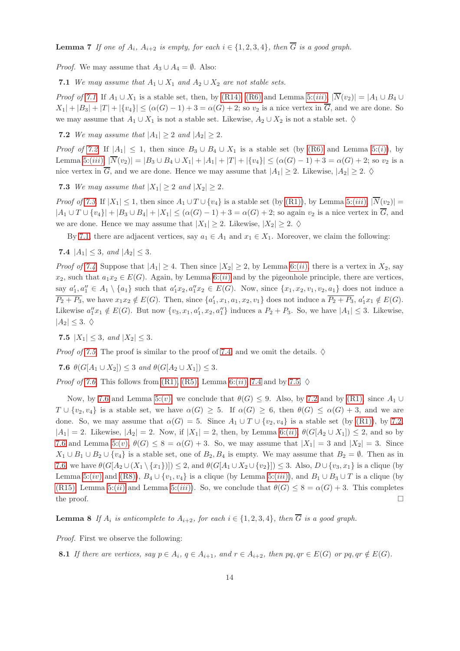**Lemma 7** *If one of*  $A_i$ *,*  $A_{i+2}$  *is empty, for each*  $i \in \{1, 2, 3, 4\}$ *, then*  $\overline{G}$  *is a good graph.* 

<span id="page-13-0"></span>*Proof.* We may assume that  $A_3 \cup A_4 = \emptyset$ . Also:

7.1 *We may assume that*  $A_1 \cup X_1$  *and*  $A_2 \cup X_2$  *are not stable sets.* 

<span id="page-13-1"></span>*Proof of* [7.1](#page-13-0). If  $A_1 \cup X_1$  is a stable set, then, by [\(R14\),](#page-4-1) [\(R6\)](#page-3-4) and Lemma [5:\(](#page-12-3)*iii*),  $|\overline{N}(v_2)| = |A_1 \cup B_4 \cup B_5 \cup B_6|$  $X_1| + |B_3| + |T| + |\{v_4\}| \leq (\alpha(G) - 1) + 3 = \alpha(G) + 2$ ; so  $v_2$  is a nice vertex in  $\overline{G}$ , and we are done. So we may assume that  $A_1 \cup X_1$  is not a stable set. Likewise,  $A_2 \cup X_2$  is not a stable set.  $\diamond$ 

**7.2** *We may assume that*  $|A_1| \geq 2$  *and*  $|A_2| \geq 2$ *.* 

<span id="page-13-2"></span>*Proof of [7.2](#page-13-1).* If  $|A_1| \leq 1$ , then since  $B_3 \cup B_4 \cup X_1$  is a stable set (by [\(R6\)](#page-3-4) and Lemma [5:\(](#page-12-1)i)), by Lemma [5:\(](#page-12-3)iii),  $|\overline{N}(v_2)| = |B_3 \cup B_4 \cup X_1| + |A_1| + |T| + |\{v_4\}| \leq (\alpha(G) - 1) + 3 = \alpha(G) + 2$ ; so  $v_2$  is a nice vertex in  $\overline{G}$ , and we are done. Hence we may assume that  $|A_1| \geq 2$ . Likewise,  $|A_2| \geq 2$ .  $\diamond$ 

**7.3** *We may assume that*  $|X_1| \geq 2$  *and*  $|X_2| \geq 2$ *.* 

*Proof of [7.3](#page-13-2)*. If  $|X_1| \leq 1$ , then since  $A_1 \cup T \cup \{v_4\}$  is a stable set (by [\(R1\)\)](#page-3-1), by Lemma [5:\(](#page-12-3)*iii*),  $|\overline{N}(v_2)|$  =  $|A_1 \cup T \cup \{v_4\}| + |B_3 \cup B_4| + |X_1| \leq (\alpha(G)-1)+3 = \alpha(G)+2$ ; so again  $v_2$  is a nice vertex in  $\overline{G}$ , and we are done. Hence we may assume that  $|X_1| \geq 2$ . Likewise,  $|X_2| \geq 2$ .  $\diamond$ 

<span id="page-13-3"></span>By [7.1,](#page-13-0) there are adjacent vertices, say  $a_1 \in A_1$  and  $x_1 \in X_1$ . Moreover, we claim the following:

7.4  $|A_1| \leq 3$ *, and*  $|A_2| \leq 3$ *.* 

*Proof of [7.4](#page-13-3)*. Suppose that  $|A_1| \geq 4$ . Then since  $|X_2| \geq 2$ , by Lemma [6:\(](#page-12-6)*ii*), there is a vertex in  $X_2$ , say  $x_2$ , such that  $a_1x_2 \in E(G)$ . Again, by Lemma [6:\(](#page-12-6)*ii*) and by the pigeonhole principle, there are vertices, say  $a'_1, a''_1 \in A_1 \setminus \{a_1\}$  such that  $a'_1x_2, a''_1x_2 \in E(G)$ . Now, since  $\{x_1, x_2, v_1, v_2, a_1\}$  does not induce a  $\overline{P_2+P_3}$ , we have  $x_1x_2 \notin E(G)$ . Then, since  $\{a'_1,x_1,a_1,x_2,v_1\}$  does not induce a  $\overline{P_2+P_3}$ ,  $a'_1x_1 \notin E(G)$ . Likewise  $a''_1x_1 \notin E(G)$ . But now  $\{v_3, x_1, a'_1, x_2, a''_1\}$  induces a  $P_2 + P_3$ . So, we have  $|A_1| \leq 3$ . Likewise,  $|A_2| \leq 3.$   $\diamond$ 

<span id="page-13-4"></span>7.5  $|X_1| \leq 3$ *, and*  $|X_2| \leq 3$ *.* 

<span id="page-13-5"></span>*Proof of [7.5](#page-13-4).* The proof is similar to the proof of [7.4,](#page-13-3) and we omit the details.  $\diamond$ 

7.6  $\theta(G[A_1 \cup X_2]) \leq 3$  *and*  $\theta(G[A_2 \cup X_1]) \leq 3$ *.* 

*Proof of [7.6](#page-13-5)*. This follows from [\(R1\),](#page-3-1) [\(R5\),](#page-3-2) Lemma [6:\(](#page-12-6)*ii*), [7.4](#page-13-3) and by [7.5.](#page-13-4)  $\diamond$ 

Now, by [7.6](#page-13-5) and Lemma [5:\(](#page-12-7)v), we conclude that  $\theta(G) \leq 9$ . Also, by [7.2](#page-13-1) and by [\(R1\),](#page-3-1) since  $A_1 \cup$  $T \cup \{v_2, v_4\}$  is a stable set, we have  $\alpha(G) \geq 5$ . If  $\alpha(G) \geq 6$ , then  $\theta(G) \leq \alpha(G) + 3$ , and we are done. So, we may assume that  $\alpha(G) = 5$ . Since  $A_1 \cup T \cup \{v_2, v_4\}$  is a stable set (by [\(R1\)\)](#page-3-1), by [7.2,](#page-13-1)  $|A_1| = 2$ . Likewise,  $|A_2| = 2$ . Now, if  $|X_1| = 2$ , then, by Lemma 6: $(ii)$ ,  $\theta(G[A_2 \cup X_1]) \leq 2$ , and so by [7.6](#page-13-5) and Lemma [5:\(](#page-12-7)v),  $\theta(G) \leq 8 = \alpha(G) + 3$ . So, we may assume that  $|X_1| = 3$  and  $|X_2| = 3$ . Since  $X_1 \cup B_1 \cup B_2 \cup \{v_4\}$  is a stable set, one of  $B_2, B_4$  is empty. We may assume that  $B_2 = \emptyset$ . Then as in [7.6,](#page-13-5) we have  $\theta(G[A_2 \cup (X_1 \setminus \{x_1\})]) \leq 2$ , and  $\theta(G[A_1 \cup X_2 \cup \{v_2\}]) \leq 3$ . Also,  $D \cup \{v_3, x_1\}$  is a clique (by Lemma [5:\(](#page-12-3)iv) and [\(R8\)\)](#page-4-2),  $B_4 \cup \{v_1, v_4\}$  is a clique (by Lemma 5:(iii)), and  $B_1 \cup B_3 \cup T$  is a clique (by [\(R15\),](#page-5-5) Lemma [5:\(](#page-12-3)ii) and Lemma 5:(iii)). So, we conclude that  $\theta(G) \leq 8 = \alpha(G) + 3$ . This completes the proof.  $\Box$ 

<span id="page-13-7"></span>**Lemma 8** If  $A_i$  *is anticomplete to*  $A_{i+2}$ *, for each*  $i \in \{1, 2, 3, 4\}$ *, then*  $\overline{G}$  *is a good graph.* 

<span id="page-13-6"></span>*Proof.* First we observe the following:

8.1 *If there are vertices, say*  $p \in A_i$ ,  $q \in A_{i+1}$ , and  $r \in A_{i+2}$ , then  $pq, qr \in E(G)$  *or*  $pq, qr \notin E(G)$ *.*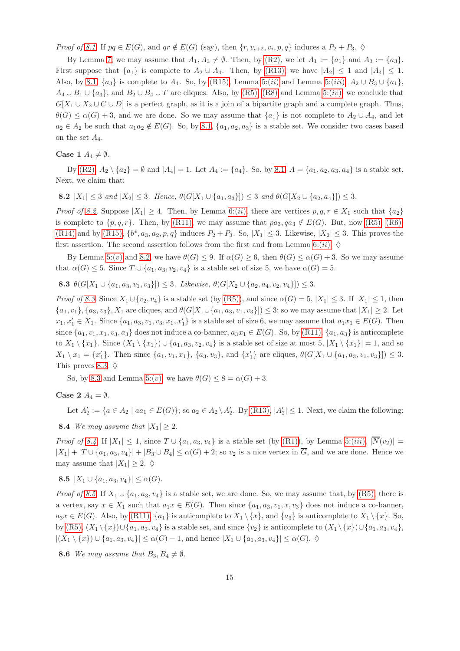*Proof of [8.1](#page-13-6)*. If  $pq \in E(G)$ , and  $qr \notin E(G)$  (say), then  $\{r, v_{i+2}, v_i, p, q\}$  induces a  $P_2 + P_3$ .  $\diamond$ 

By Lemma [7,](#page-12-8) we may assume that  $A_1, A_3 \neq \emptyset$ . Then, by [\(R2\),](#page-3-6) we let  $A_1 := \{a_1\}$  and  $A_3 := \{a_3\}$ . First suppose that  $\{a_1\}$  is complete to  $A_2 \cup A_4$ . Then, by [\(R13\),](#page-4-3) we have  $|A_2| \leq 1$  and  $|A_4| \leq 1$ . Also, by [8.1,](#page-13-6)  $\{a_3\}$  is complete to  $A_4$ . So, by [\(R15\),](#page-5-5) Lemma [5:\(](#page-12-3)ii) and Lemma 5:(iii),  $A_2 \cup B_3 \cup \{a_1\}$ ,  $A_4 \cup B_1 \cup \{a_3\}$ , and  $B_2 \cup B_4 \cup T$  are cliques. Also, by [\(R5\),](#page-3-2) [\(R8\)](#page-4-2) and Lemma [5:\(](#page-12-4)*iv*), we conclude that  $G[X_1 \cup X_2 \cup C \cup D]$  is a perfect graph, as it is a join of a bipartite graph and a complete graph. Thus,  $\theta(G) \leq \alpha(G) + 3$ , and we are done. So we may assume that  $\{a_1\}$  is not complete to  $A_2 \cup A_4$ , and let  $a_2 \in A_2$  be such that  $a_1 a_2 \notin E(G)$ . So, by [8.1,](#page-13-6)  $\{a_1, a_2, a_3\}$  is a stable set. We consider two cases based on the set  $A_4$ .

#### Case 1  $A_4 \neq \emptyset$ .

<span id="page-14-0"></span>By [\(R2\),](#page-3-6)  $A_2 \setminus \{a_2\} = \emptyset$  and  $|A_4| = 1$ . Let  $A_4 := \{a_4\}$ . So, by [8.1,](#page-13-6)  $A = \{a_1, a_2, a_3, a_4\}$  is a stable set. Next, we claim that:

8.2  $|X_1| \leq 3$  *and*  $|X_2| \leq 3$ *. Hence,*  $\theta(G[X_1 \cup \{a_1, a_3\}]) \leq 3$  *and*  $\theta(G[X_2 \cup \{a_2, a_4\}]) \leq 3$ *.* 

*Proof of [8.2](#page-14-0).* Suppose  $|X_1| \geq 4$ . Then, by Lemma [6:\(](#page-12-6)ii), there are vertices  $p, q, r \in X_1$  such that  $\{a_2\}$ is complete to  $\{p, q, r\}$ . Then, by [\(R11\),](#page-4-8) we may assume that  $pa_3, qa_3 \notin E(G)$ . But, now [\(R5\),](#page-3-2) [\(R6\),](#page-3-4) [\(R14\)](#page-4-1) and by [\(R15\),](#page-5-5)  $\{b^*, a_3, a_2, p, q\}$  induces  $P_2 + P_3$ . So,  $|X_1| \leq 3$ . Likewise,  $|X_2| \leq 3$ . This proves the first assertion. The second assertion follows from the first and from Lemma [6:\(](#page-12-6)ii).  $\diamond$ 

<span id="page-14-1"></span>By Lemma [5:\(](#page-12-7)v) and [8.2,](#page-14-0) we have  $\theta(G) \leq 9$ . If  $\alpha(G) \geq 6$ , then  $\theta(G) \leq \alpha(G) + 3$ . So we may assume that  $\alpha(G) \leq 5$ . Since  $T \cup \{a_1, a_3, v_2, v_4\}$  is a stable set of size 5, we have  $\alpha(G) = 5$ .

8.3  $\theta(G[X_1 \cup \{a_1, a_3, v_1, v_3\}]) \leq 3$ *. Likewise,*  $\theta(G[X_2 \cup \{a_2, a_4, v_2, v_4\}]) \leq 3$ *.* 

*Proof of* [8.3](#page-14-1). Since  $X_1 \cup \{v_2, v_4\}$  is a stable set (by [\(R5\)\)](#page-3-2), and since  $\alpha(G) = 5$ ,  $|X_1| \leq 3$ . If  $|X_1| \leq 1$ , then  $\{a_1, v_1\}, \{a_3, v_3\}, X_1$  are cliques, and  $\theta(G[X_1 \cup \{a_1, a_3, v_1, v_3\}]) \leq 3$ ; so we may assume that  $|X_1| \geq 2$ . Let  $x_1, x_1' \in X_1$ . Since  $\{a_1, a_3, v_1, v_3, x_1, x_1'\}$  is a stable set of size 6, we may assume that  $a_1x_1 \in E(G)$ . Then since  $\{a_1, v_1, x_1, v_3, a_3\}$  does not induce a co-banner,  $a_3x_1 \in E(G)$ . So, by  $(R11)$ ,  $\{a_1, a_3\}$  is anticomplete to  $X_1 \setminus \{x_1\}$ . Since  $(X_1 \setminus \{x_1\}) \cup \{a_1, a_3, v_2, v_4\}$  is a stable set of size at most  $5, |X_1 \setminus \{x_1\}| = 1$ , and so  $X_1 \setminus x_1 = \{x'_1\}.$  Then since  $\{a_1, v_1, x_1\}, \{a_3, v_3\},\$ and  $\{x'_1\}$  are cliques,  $\theta(G[X_1 \cup \{a_1, a_3, v_1, v_3\}]) \leq 3.$ This proves [8.3.](#page-14-1)  $\diamond$ 

So, by [8.3](#page-14-1) and Lemma [5:\(](#page-12-7)v), we have  $\theta(G) \leq 8 = \alpha(G) + 3$ .

<span id="page-14-2"></span>Case 2  $A_4 = \emptyset$ .

Let  $A'_2 := \{a \in A_2 \mid aa_1 \in E(G)\}$ ; so  $a_2 \in A_2 \setminus A'_2$ . By [\(R13\),](#page-4-3)  $|A'_2| \leq 1$ . Next, we claim the following:

8.4 *We may assume that*  $|X_1| \geq 2$ *.* 

<span id="page-14-3"></span>*Proof of [8.4](#page-14-2)*. If  $|X_1| \leq 1$ , since  $T \cup \{a_1, a_3, v_4\}$  is a stable set (by [\(R1\)\)](#page-3-1), by Lemma [5:\(](#page-12-3)*iii*),  $|\overline{N}(v_2)|$  =  $|X_1| + |T \cup \{a_1, a_3, v_4\}| + |B_3 \cup B_4| \leq \alpha(G) + 2$ ; so  $v_2$  is a nice vertex in  $\overline{G}$ , and we are done. Hence we may assume that  $|X_1| \geq 2$ .  $\diamond$ 

8.5  $|X_1 \cup \{a_1, a_3, v_4\}| \leq \alpha(G)$ *.* 

*Proof of [8.5](#page-14-3)*. If  $X_1 \cup \{a_1, a_3, v_4\}$  is a stable set, we are done. So, we may assume that, by [\(R5\),](#page-3-2) there is a vertex, say  $x \in X_1$  such that  $a_1x \in E(G)$ . Then since  $\{a_1, a_3, v_1, x, v_3\}$  does not induce a co-banner,  $a_3x \in E(G)$ . Also, by  $(R11)$ ,  $\{a_1\}$  is anticomplete to  $X_1 \setminus \{x\}$ , and  $\{a_3\}$  is anticomplete to  $X_1 \setminus \{x\}$ . So, by [\(R5\),](#page-3-2)  $(X_1 \setminus \{x\}) \cup \{a_1, a_3, v_4\}$  is a stable set, and since  $\{v_2\}$  is anticomplete to  $(X_1 \setminus \{x\}) \cup \{a_1, a_3, v_4\}$ ,  $|(X_1 \setminus \{x\}) \cup \{a_1, a_3, v_4\}| \leq \alpha(G) - 1$ , and hence  $|X_1 \cup \{a_1, a_3, v_4\}| \leq \alpha(G)$ .  $\diamondsuit$ 

<span id="page-14-4"></span>**8.6** *We may assume that*  $B_3, B_4 \neq \emptyset$ *.*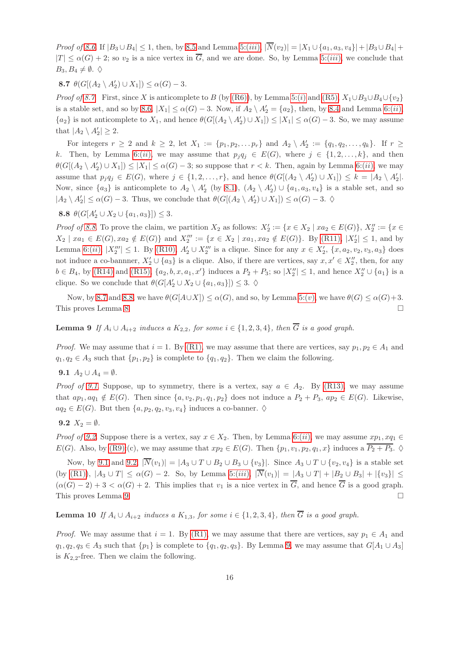<span id="page-15-0"></span>*Proof of* [8.6](#page-14-4). If  $|B_3 \cup B_4| \leq 1$ , then, by [8.5](#page-14-3) and Lemma [5:\(](#page-12-3)*iii*),  $|\overline{N}(v_2)| = |X_1 \cup \{a_1, a_3, v_4\}| + |B_3 \cup B_4| +$  $|T| \leq \alpha(G) + 2$ ; so  $v_2$  is a nice vertex in  $\overline{G}$ , and we are done. So, by Lemma [5:\(](#page-12-3)*iii*), we conclude that  $B_3, B_4 \neq \emptyset$ .  $\diamond$ 

**8.7**  $\theta(G[(A_2 \setminus A'_2) \cup X_1]) \leq \alpha(G) - 3$ .

*Proof of* [8.7](#page-15-0). First, since X is anticomplete to B (by [\(R6\)\)](#page-3-4), by Lemma [5:\(](#page-12-1)i) and [\(R5\),](#page-3-2)  $X_1 \cup B_3 \cup B_4 \cup \{v_2\}$ is a stable set, and so by [8.6,](#page-14-4)  $|X_1| \leq \alpha(G) - 3$ . Now, if  $A_2 \setminus A'_2 = \{a_2\}$ , then, by [8.4](#page-14-2) and Lemma [6:\(](#page-12-6)*ii*),  ${a_2}$  is not anticomplete to  $X_1$ , and hence  $\theta(G[(A_2 \setminus A'_2) \cup X_1]) \le |X_1| \le \alpha(G) - 3$ . So, we may assume that  $|A_2 \setminus A'_2| \geq 2$ .

For integers  $r \geq 2$  and  $k \geq 2$ , let  $X_1 := \{p_1, p_2, \ldots p_r\}$  and  $A_2 \setminus A'_2 := \{q_1, q_2, \ldots, q_k\}$ . If  $r \geq 2$ k. Then, by Lemma [6:\(](#page-12-6)ii), we may assume that  $p_iq_i \in E(G)$ , where  $j \in \{1, 2, ..., k\}$ , and then  $\theta(G[(A_2 \setminus A'_2) \cup X_1]) \leq |X_1| \leq \alpha(G) - 3$ ; so suppose that  $r < k$ . Then, again by Lemma [6:\(](#page-12-6)*ii*), we may assume that  $p_j q_j \in E(G)$ , where  $j \in \{1, 2, ..., r\}$ , and hence  $\theta(G[(A_2 \setminus A'_2) \cup X_1]) \leq k = |A_2 \setminus A'_2|$ . Now, since  $\{a_3\}$  is anticomplete to  $A_2 \setminus A'_2$  (by [8.1\)](#page-13-6),  $(A_2 \setminus A'_2) \cup \{a_1, a_3, v_4\}$  is a stable set, and so  $|A_2 \setminus A'_2| \le \alpha(G) - 3$ . Thus, we conclude that  $\theta(G[(A_2 \setminus A'_2) \cup X_1]) \le \alpha(G) - 3$ .  $\diamond$ 

<span id="page-15-1"></span>8.8  $\theta(G[A'_2 \cup X_2 \cup \{a_1, a_3\}]) \leq 3.$ 

*Proof of [8.8](#page-15-1)*. To prove the claim, we partition  $X_2$  as follows:  $X'_2 := \{x \in X_2 \mid xa_2 \in E(G)\}\$ ,  $X''_2 := \{x \in E(G)\}$  $X_2 \mid xa_1 \in E(G), xa_2 \notin E(G) \}$  and  $X_2''' := \{x \in X_2 \mid xa_1, xa_2 \notin E(G) \}$ . By [\(R11\),](#page-4-8)  $|X_2'| \leq 1$ , and by Lemma [6:\(](#page-12-6)*ii*),  $|X_2'''| \le 1$ . By [\(R10\),](#page-4-5)  $A'_2 \cup X_2'''$  is a clique. Since for any  $x \in X'_2$ ,  $\{x, a_2, v_2, v_3, a_3\}$  does not induce a co-bannner,  $X'_2 \cup \{a_3\}$  is a clique. Also, if there are vertices, say  $x, x' \in X''_2$ , then, for any  $b \in B_4$ , by [\(R14\)](#page-4-1) and [\(R15\),](#page-5-5)  $\{a_2, b, x, a_1, x'\}$  induces a  $P_2 + P_3$ ; so  $|X''_2| \le 1$ , and hence  $X''_2 \cup \{a_1\}$  is a clique. So we conclude that  $\theta(G[A'_2 \cup X_2 \cup \{a_1, a_3\}]) \leq 3.$   $\diamond$ 

<span id="page-15-4"></span>Now, by [8.7](#page-15-0) and [8.8,](#page-15-1) we have  $\theta(G[A\cup X]) \leq \alpha(G)$ , and so, by Lemma [5:\(](#page-12-7)v), we have  $\theta(G) \leq \alpha(G)+3$ . This proves Lemma [8.](#page-13-7)

**Lemma 9** *If*  $A_i ∪ A_{i+2}$  *induces a*  $K_{2,2}$ *, for some*  $i ∈ \{1, 2, 3, 4\}$ *, then*  $\overline{G}$  *is a good graph.* 

<span id="page-15-2"></span>*Proof.* We may assume that  $i = 1$ . By [\(R1\),](#page-3-1) we may assume that there are vertices, say  $p_1, p_2 \in A_1$  and  $q_1, q_2 \in A_3$  such that  $\{p_1, p_2\}$  is complete to  $\{q_1, q_2\}$ . Then we claim the following.

9.1  $A_2 \cup A_4 = \emptyset$ .

<span id="page-15-3"></span>*Proof of [9.1](#page-15-2).* Suppose, up to symmetry, there is a vertex, say  $a \in A_2$ . By [\(R13\),](#page-4-3) we may assume that  $ap_1, aq_1 \notin E(G)$ . Then since  $\{a, v_2, p_1, q_1, p_2\}$  does not induce a  $P_2 + P_3$ ,  $ap_2 \in E(G)$ . Likewise,  $aq_2 \in E(G)$ . But then  $\{a, p_2, q_2, v_3, v_4\}$  induces a co-banner.  $\diamond$ 

9.2  $X_2 = \emptyset$ .

*Proof of [9.2](#page-15-3).* Suppose there is a vertex, say  $x \in X_2$ . Then, by Lemma [6:\(](#page-12-6)*ii*), we may assume  $xp_1, xq_1 \in$  $E(G)$ . Also, by [\(R9\):](#page-4-0)(c), we may assume that  $xp_2 \in E(G)$ . Then  $\{p_1, v_1, p_2, q_1, x\}$  induces a  $\overline{P_2 + P_3}$ .  $\diamond$ 

Now, by [9.1](#page-15-2) and [9.2,](#page-15-3)  $|\overline{N}(v_1)| = |A_3 \cup T \cup B_2 \cup B_3 \cup \{v_3\}|$ . Since  $A_3 \cup T \cup \{v_2, v_4\}$  is a stable set (by [\(R1\)\)](#page-3-1),  $|A_3 \cup T| \le \alpha(G) - 2$ . So, by Lemma [5:\(](#page-12-3)iii),  $|\overline{N}(v_1)| = |A_3 \cup T| + |B_2 \cup B_3| + |\{v_3\}| \le$  $(\alpha(G) - 2) + 3 < \alpha(G) + 2$ . This implies that  $v_1$  is a nice vertex in  $\overline{G}$ , and hence  $\overline{G}$  is a good graph. This proves Lemma [9.](#page-15-4)

<span id="page-15-6"></span>**Lemma 10** *If*  $A_i ∪ A_{i+2}$  *induces a*  $K_{1,3}$ *, for some*  $i ∈ {1, 2, 3, 4}$ *, then*  $\overline{G}$  *is a good graph.* 

<span id="page-15-5"></span>*Proof.* We may assume that  $i = 1$ . By [\(R1\),](#page-3-1) we may assume that there are vertices, say  $p_1 \in A_1$  and  $q_1, q_2, q_3 \in A_3$  such that  $\{p_1\}$  is complete to  $\{q_1, q_2, q_3\}$ . By Lemma [9,](#page-15-4) we may assume that  $G[A_1 \cup A_3]$ is  $K_{2,2}$ -free. Then we claim the following.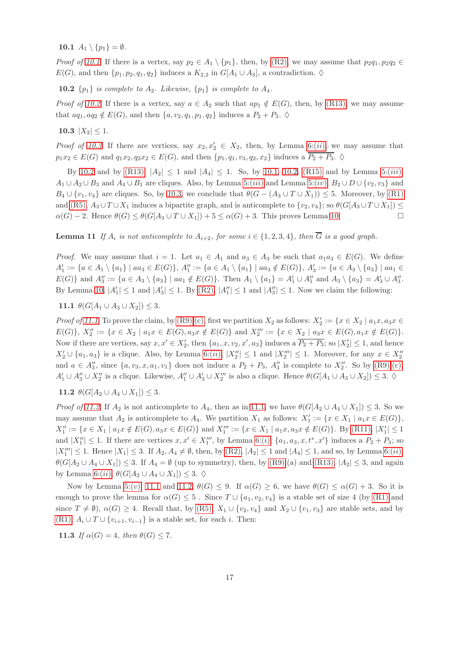10.1  $A_1 \setminus \{p_1\} = \emptyset$ .

<span id="page-16-1"></span>*Proof of [10.1](#page-15-5)*. If there is a vertex, say  $p_2 \in A_1 \setminus \{p_1\}$ , then, by  $(R2)$ , we may assume that  $p_2q_1, p_2q_2 \in A_2$  $E(G)$ , and then  $\{p_1, p_2, q_1, q_2\}$  induces a  $K_{2,2}$  in  $G[A_1 \cup A_3]$ , a contradiction.  $\diamond$ 

**10.2**  $\{p_1\}$  *is complete to*  $A_2$ *. Likewise*,  $\{p_1\}$  *is complete to*  $A_4$ *.* 

<span id="page-16-2"></span>*Proof of [10.2](#page-16-1)*. If there is a vertex, say  $a \in A_2$  such that  $ap_1 \notin E(G)$ , then, by [\(R13\),](#page-4-3) we may assume that  $aq_1, aq_2 \notin E(G)$ , and then  $\{a, v_2, q_1, p_1, q_2\}$  induces a  $P_2 + P_3$ .  $\diamond$ 

10.3  $|X_2| \leq 1$ *.* 

*Proof of [10.3](#page-16-2)*. If there are vertices, say  $x_2, x'_2 \in X_2$ , then, by Lemma [6:\(](#page-12-6)*ii*), we may assume that  $p_1x_2 \in E(G)$  and  $q_1x_2, q_2x_2 \in E(G)$ , and then  $\{p_1, q_1, v_3, q_2, x_2\}$  induces a  $\overline{P_2 + P_3}$ .  $\diamond$ 

By [10.2](#page-16-1) and by [\(R13\),](#page-4-3)  $|A_2| \le 1$  and  $|A_4| \le 1$ . So, by [10.1,](#page-15-5) [10.2,](#page-16-1) [\(R15\)](#page-5-5) and by Lemma [5:\(](#page-12-3)*iii*),  $A_1 \cup A_2 \cup B_3$  and  $A_4 \cup B_1$  are cliques. Also, by Lemma [5:\(](#page-12-4)iii) and Lemma 5:(iv),  $B_2 \cup D \cup \{v_2, v_3\}$  and  $B_4 \cup \{v_1, v_4\}$  are cliques. So, by [10.3,](#page-16-2) we conclude that  $\theta(G - (A_3 \cup T \cup X_1)) \leq 5$ . Moreover, by [\(R1\)](#page-3-1) and [\(R5\),](#page-3-2)  $A_3 \cup T \cup X_1$  induces a bipartite graph, and is anticomplete to  $\{v_2, v_4\}$ ; so  $\theta(G[A_3 \cup T \cup X_1]) \le$  $\alpha(G) - 2$ . Hence  $\theta(G) \leq \theta(G[A_3 \cup T \cup X_1]) + 5 \leq \alpha(G) + 3$ . This proves Lemma [10.](#page-15-6)

<span id="page-16-0"></span>**Lemma 11** *If*  $A_i$  *is not anticomplete to*  $A_{i+2}$ *, for some*  $i \in \{1, 2, 3, 4\}$ *, then*  $\overline{G}$  *is a good graph.* 

*Proof.* We may assume that  $i = 1$ . Let  $a_1 \in A_1$  and  $a_3 \in A_3$  be such that  $a_1a_3 \in E(G)$ . We define  $A'_1 := \{a \in A_1 \setminus \{a_1\} \mid aa_3 \in E(G)\}, A''_1 := \{a \in A_1 \setminus \{a_1\} \mid aa_3 \notin E(G)\}, A'_3 := \{a \in A_3 \setminus \{a_3\} \mid aa_1 \in E(G)\}$  $E(G)$ } and  $A''_3 := \{a \in A_3 \setminus \{a_3\} \mid aa_1 \notin E(G)\}$ . Then  $A_1 \setminus \{a_1\} = A'_1 \cup A''_1$  and  $A_3 \setminus \{a_3\} = A'_3 \cup A''_3$ . By Lemma [10,](#page-15-6)  $|A'_1| \le 1$  and  $|A'_3| \le 1$ . By  $(R2)$ ,  $|A''_1| \le 1$  and  $|A''_3| \le 1$ . Now we claim the following:

<span id="page-16-3"></span>11.1  $\theta(G[A_1 \cup A_3 \cup X_2]) \leq 3$ *.* 

*Proof of [11.1](#page-16-3)*. To prove the claim, by [\(R9\)](#page-4-0)[:\(c\),](#page-4-4) first we partition  $X_2$  as follows:  $X'_2 := \{x \in X_2 \mid a_1x, a_3x \in X_1\}$  $E(G)$ ,  $X_2'' := \{x \in X_2 \mid a_1x \in E(G), a_3x \notin E(G)\}\$  and  $X_2''' := \{x \in X_2 \mid a_3x \in E(G), a_1x \notin E(G)\}.$ Now if there are vertices, say  $x, x' \in X'_2$ , then  $\{a_1, x, v_2, x', a_3\}$  induces a  $\overline{P_2 + P_3}$ ; so  $|X'_2| \leq 1$ , and hence  $X'_2 \cup \{a_1, a_3\}$  is a clique. Also, by Lemma [6:\(](#page-12-6)*ii*),  $|X''_2| \leq 1$  and  $|X'''_2| \leq 1$ . Moreover, for any  $x \in X''_2$ and  $a \in A''_3$ , since  $\{a, v_3, x, a_1, v_1\}$  does not induce a  $P_2 + P_3$ ,  $A''_3$  is complete to  $X''_2$ . So by  $(R9):(c)$ ,  $A'_1 \cup A''_3 \cup X''_2$  is a clique. Likewise,  $A''_1 \cup A'_3 \cup X'''_2$  is also a clique. Hence  $\theta(G[A_1 \cup A_3 \cup X_2]) \leq 3$ .  $\diamond$ 

<span id="page-16-4"></span>11.2  $\theta(G[A_2 \cup A_4 \cup X_1]) \leq 3$ *.* 

*Proof of [11.2](#page-16-4)*. If  $A_2$  is not anticomplete to  $A_4$ , then as in [11.1,](#page-16-3) we have  $\theta(G[A_2 \cup A_4 \cup X_1]) \leq 3$ . So we may assume that  $A_2$  is anticomplete to  $A_4$ . We partition  $X_1$  as follows:  $X'_1 := \{x \in X_1 \mid a_1 x \in E(G)\},\$  $X''_1 := \{x \in X_1 \mid a_1x \notin E(G), a_3x \in E(G)\}\$ and  $X'''_1 := \{x \in X_1 \mid a_1x, a_3x \notin E(G)\}\$ . By [\(R11\),](#page-4-8)  $|X'_1| \leq 1$ and  $|X''_1| \leq 1$ . If there are vertices  $x, x' \in X''_1$ , by Lemma [6:\(](#page-12-5)*i*),  $\{a_1, a_3, x, t^*, x'\}$  induces a  $P_2 + P_3$ ; so  $|X''_1| \leq 1$ . Hence  $|X_1| \leq 3$ . If  $A_2, A_4 \neq \emptyset$ , then, by [\(R2\),](#page-3-6)  $|A_2| \leq 1$  and  $|A_4| \leq 1$ , and so, by Lemma [6:\(](#page-12-6)*ii*),  $\theta(G[A_2 \cup A_4 \cup X_1]) \leq 3$ . If  $A_4 = \emptyset$  (up to symmetry), then, by [\(R9\):](#page-4-0)(a) and [\(R13\),](#page-4-3)  $|A_2| \leq 3$ , and again by Lemma [6:\(](#page-12-6)ii),  $\theta(G[A_2 \cup A_4 \cup X_1]) \leq 3$ .  $\diamond$ 

Now by Lemma [5:\(](#page-12-7)v), [11.1](#page-16-3) and [11.2,](#page-16-4)  $\theta(G) \leq 9$ . If  $\alpha(G) \geq 6$ , we have  $\theta(G) \leq \alpha(G) + 3$ . So it is enough to prove the lemma for  $\alpha(G) \leq 5$ . Since  $T \cup \{a_1, v_2, v_4\}$  is a stable set of size 4 (by [\(R1\)](#page-3-1) and since  $T \neq \emptyset$ ,  $\alpha(G) \geq 4$ . Recall that, by [\(R5\),](#page-3-2)  $X_1 \cup \{v_2, v_4\}$  and  $X_2 \cup \{v_1, v_3\}$  are stable sets, and by [\(R1\),](#page-3-1)  $A_i \cup T \cup \{v_{i+1}, v_{i-1}\}$  is a stable set, for each i. Then:

<span id="page-16-5"></span>**11.3** *If*  $\alpha(G) = 4$ *, then*  $\theta(G) \leq 7$ *.*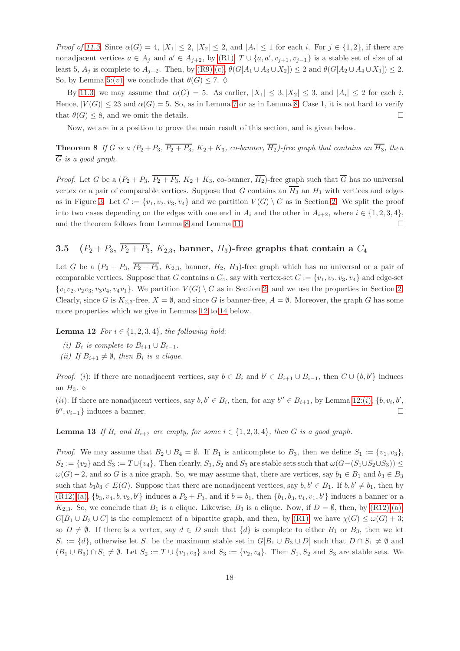*Proof of [11.3](#page-16-5)*. Since  $\alpha(G) = 4$ ,  $|X_1| \leq 2$ ,  $|X_2| \leq 2$ , and  $|A_i| \leq 1$  for each i. For  $j \in \{1, 2\}$ , if there are nonadjacent vertices  $a \in A_j$  and  $a' \in A_{j+2}$ , by [\(R1\),](#page-3-1)  $T \cup \{a, a', v_{j+1}, v_{j-1}\}$  is a stable set of size of at least 5,  $A_j$  is complete to  $A_{j+2}$ . Then, by  $(R9):(c)$ ,  $\theta(G[A_1 \cup A_3 \cup X_2]) \leq 2$  and  $\theta(G[A_2 \cup A_4 \cup X_1]) \leq 2$ . So, by Lemma [5:\(](#page-12-7)v), we conclude that  $\theta(G) \leq 7$ .  $\diamond$ 

By [11.3,](#page-16-5) we may assume that  $\alpha(G) = 5$ . As earlier,  $|X_1| \leq 3, |X_2| \leq 3$ , and  $|A_i| \leq 2$  for each i. Hence,  $|V(G)| \leq 23$  and  $\alpha(G) = 5$ . So, as in Lemma [7](#page-12-8) or as in Lemma [8:](#page-13-7) Case 1, it is not hard to verify that  $\theta(G) \leq 8$ , and we omit the details.

<span id="page-17-0"></span>Now, we are in a position to prove the main result of this section, and is given below.

**Theorem 8** If G is a  $(P_2 + P_3, \overline{P_2 + P_3}, K_2 + K_3, co-banner, \overline{H_2})$ -free graph that contains an  $\overline{H_3}$ , then  $\overline{G}$  *is a good graph.* 

*Proof.* Let G be a  $(P_2 + P_3, \overline{P_2 + P_3}, K_2 + K_3$ , co-banner,  $\overline{H_2}$ )-free graph such that  $\overline{G}$  has no universal vertex or a pair of comparable vertices. Suppose that G contains an  $\overline{H_3}$  an  $H_1$  with vertices and edges as in Figure [3.](#page-6-2) Let  $C := \{v_1, v_2, v_3, v_4\}$  and we partition  $V(G) \setminus C$  as in Section [2.](#page-3-0) We split the proof into two cases depending on the edges with one end in  $A_i$  and the other in  $A_{i+2}$ , where  $i \in \{1, 2, 3, 4\}$ , and the theorem follows from Lemma [8](#page-13-7) and Lemma [11.](#page-16-0)  $\Box$ 

# 3.5  $(P_2 + P_3, \overline{P_2 + P_3}, K_{2,3}$ , banner,  $H_3$ )-free graphs that contain a  $C_4$

Let G be a  $(P_2 + P_3, \overline{P_2 + P_3}, K_{2,3}$ , banner,  $H_2, H_3$ )-free graph which has no universal or a pair of comparable vertices. Suppose that G contains a  $C_4$ , say with vertex-set  $C := \{v_1, v_2, v_3, v_4\}$  and edge-set  $\{v_1v_2, v_2v_3, v_3v_4, v_4v_1\}.$  We partition  $V(G) \setminus C$  as in Section [2,](#page-3-0) and we use the properties in Section [2.](#page-3-0) Clearly, since G is  $K_{2,3}$ -free,  $X = \emptyset$ , and since G is banner-free,  $A = \emptyset$ . Moreover, the graph G has some more properties which we give in Lemmas [12](#page-17-1) to [14](#page-18-1) below.

<span id="page-17-2"></span><span id="page-17-1"></span>**Lemma 12** *For*  $i \in \{1, 2, 3, 4\}$ *, the following hold:* 

- <span id="page-17-4"></span>*(i)*  $B_i$  *is complete to*  $B_{i+1} \cup B_{i-1}$ *.*
- *(ii)* If  $B_{i+1} \neq \emptyset$ , then  $B_i$  *is a clique.*

*Proof.* (i): If there are nonadjacent vertices, say  $b \in B_i$  and  $b' \in B_{i+1} \cup B_{i-1}$ , then  $C \cup \{b, b'\}$  induces an  $H_3$ .  $\diamond$ 

<span id="page-17-3"></span>(*ii*): If there are nonadjacent vertices, say  $b, b' \in B_i$ , then, for any  $b'' \in B_{i+1}$ , by Lemma [12:\(](#page-17-2)*i*),  $\{b, v_i, b',$  $b'', v_{i-1}$ } induces a banner.

**Lemma 13** If  $B_i$  and  $B_{i+2}$  are empty, for some  $i \in \{1, 2, 3, 4\}$ , then G is a good graph.

*Proof.* We may assume that  $B_2 \cup B_4 = \emptyset$ . If  $B_1$  is anticomplete to  $B_3$ , then we define  $S_1 := \{v_1, v_3\}$ ,  $S_2 := \{v_2\}$  and  $S_3 := T \cup \{v_4\}$ . Then clearly,  $S_1, S_2$  and  $S_3$  are stable sets such that  $\omega(G-(S_1 \cup S_2 \cup S_3)) \leq$  $\omega(G)-2$ , and so G is a nice graph. So, we may assume that, there are vertices, say  $b_1 \in B_1$  and  $b_3 \in B_3$ such that  $b_1b_3 \in E(G)$ . Suppose that there are nonadjacent vertices, say  $b, b' \in B_1$ . If  $b, b' \neq b_1$ , then by  $(R12):(a), \{b_3, v_4, b, v_2, b'\}$  $(R12):(a), \{b_3, v_4, b, v_2, b'\}$  $(R12):(a), \{b_3, v_4, b, v_2, b'\}$  induces a  $P_2 + P_3$ , and if  $b = b_1$ , then  $\{b_1, b_3, v_4, v_1, b'\}$  induces a banner or a K<sub>2,3</sub>. So, we conclude that  $B_1$  is a clique. Likewise,  $B_3$  is a clique. Now, if  $D = \emptyset$ , then, by [\(R12\):](#page-4-6)[\(a\),](#page-4-9)  $G[B_1 \cup B_3 \cup C]$  is the complement of a bipartite graph, and then, by  $(R1)$ , we have  $\chi(G) \leq \omega(G) + 3$ ; so  $D \neq \emptyset$ . If there is a vertex, say  $d \in D$  such that  $\{d\}$  is complete to either  $B_1$  or  $B_3$ , then we let  $S_1 := \{d\}$ , otherwise let  $S_1$  be the maximum stable set in  $G[B_1 \cup B_3 \cup D]$  such that  $D \cap S_1 \neq \emptyset$  and  $(B_1 \cup B_3) \cap S_1 \neq \emptyset$ . Let  $S_2 := T \cup \{v_1, v_3\}$  and  $S_3 := \{v_2, v_4\}$ . Then  $S_1, S_2$  and  $S_3$  are stable sets. We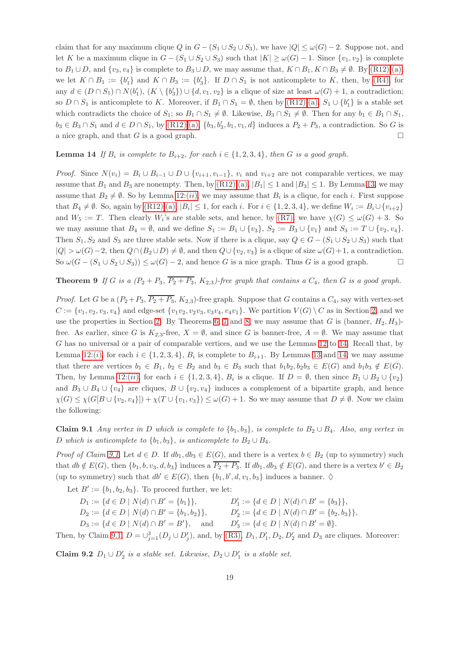claim that for any maximum clique Q in  $G - (S_1 \cup S_2 \cup S_3)$ , we have  $|Q| \leq \omega(G) - 2$ . Suppose not, and let K be a maximum clique in  $G - (S_1 \cup S_2 \cup S_3)$  such that  $|K| \geq \omega(G) - 1$ . Since  $\{v_1, v_2\}$  is complete to  $B_1 \cup D$ , and  $\{v_3, v_4\}$  is complete to  $B_3 \cup D$ , we may assume that,  $K \cap B_1, K \cap B_3 \neq \emptyset$ . By [\(R12\):](#page-4-6)[\(a\),](#page-4-9) we let  $K \cap B_1 := \{b'_1\}$  and  $K \cap B_3 := \{b'_3\}$ . If  $D \cap S_1$  is not anticomplete to K, then, by [\(R4\),](#page-3-7) for any  $d \in (D \cap S_1) \cap N(b'_1), (K \setminus \{b'_3\}) \cup \{d, v_1, v_2\}$  is a clique of size at least  $\omega(G) + 1$ , a contradiction; so  $D \cap S_1$  is anticomplete to K. Moreover, if  $B_1 \cap S_1 = \emptyset$ , then by  $(R12):(a), S_1 \cup \{b'_1\}$  $(R12):(a), S_1 \cup \{b'_1\}$  $(R12):(a), S_1 \cup \{b'_1\}$  is a stable set which contradicts the choice of  $S_1$ ; so  $B_1 \cap S_1 \neq \emptyset$ . Likewise,  $B_3 \cap S_1 \neq \emptyset$ . Then for any  $b_1 \in B_1 \cap S_1$ ,  $b_3 \in B_3 \cap S_1$  and  $d \in D \cap S_1$ , by  $(R12):(a)$ ,  $\{b_3, b'_3, b_1, v_1, d\}$  induces a  $P_2 + P_3$ , a contradiction. So G is a nice graph, and that G is a good graph.

### <span id="page-18-1"></span>**Lemma 14** If  $B_i$  is complete to  $B_{i+2}$ , for each  $i \in \{1, 2, 3, 4\}$ , then G is a good graph.

*Proof.* Since  $N(v_i) = B_i \cup B_{i-1} \cup D \cup \{v_{i+1}, v_{i-1}\}, v_i$  and  $v_{i+2}$  are not comparable vertices, we may assume that  $B_1$  and  $B_3$  are nonempty. Then, by  $(R12):(a), |B_1| \leq 1$  $(R12):(a), |B_1| \leq 1$  $(R12):(a), |B_1| \leq 1$  and  $|B_3| \leq 1$ . By Lemma [13,](#page-17-3) we may assume that  $B_2 \neq \emptyset$ . So by Lemma [12:\(](#page-17-4)*ii*), we may assume that  $B_i$  is a clique, for each *i*. First suppose that  $B_4 \neq \emptyset$ . So, again by  $(R12)(a)$ ,  $|B_i| \leq 1$ , for each i. For  $i \in \{1, 2, 3, 4\}$ , we define  $W_i := B_i \cup \{v_{i+2}\}$ and  $W_5 := T$ . Then clearly  $W_i$ 's are stable sets, and hence, by  $(R7)$ , we have  $\chi(G) \leq \omega(G) + 3$ . So we may assume that  $B_4 = \emptyset$ , and we define  $S_1 := B_1 \cup \{v_3\}$ ,  $S_2 := B_3 \cup \{v_1\}$  and  $S_3 := T \cup \{v_2, v_4\}$ . Then  $S_1, S_2$  and  $S_3$  are three stable sets. Now if there is a clique, say  $Q \in G - (S_1 \cup S_2 \cup S_3)$  such that  $|Q| > \omega(G) - 2$ , then  $Q \cap (B_2 \cup D) \neq \emptyset$ , and then  $Q \cup \{v_2, v_3\}$  is a clique of size  $\omega(G) + 1$ , a contradiction. So  $\omega(G - (S_1 \cup S_2 \cup S_3)) \leq \omega(G) - 2$ , and hence G is a nice graph. Thus G is a good graph.

<span id="page-18-0"></span>**Theorem 9** If G is a  $(P_2 + P_3, \overline{P_2 + P_3}, K_{2,3})$ -free graph that contains a  $C_4$ , then G is a good graph.

*Proof.* Let G be a  $(P_2+P_3, \overline{P_2+P_3}, K_{2,3})$ -free graph. Suppose that G contains a  $C_4$ , say with vertex-set  $C := \{v_1, v_2, v_3, v_4\}$  and edge-set  $\{v_1v_2, v_2v_3, v_3v_4, v_4v_1\}$ . We partition  $V(G) \setminus C$  as in Section [2,](#page-3-0) and we use the properties in Section [2.](#page-3-0) By Theorems [6,](#page-9-0) [7](#page-10-0) and [8,](#page-17-0) we may assume that G is (banner,  $H_2, H_3$ )free. As earlier, since G is  $K_{2,3}$ -free,  $X = \emptyset$ , and since G is banner-free,  $A = \emptyset$ . We may assume that G has no universal or a pair of comparable vertices, and we use the Lemmas [12](#page-17-1) to [14.](#page-18-1) Recall that, by Lemma [12:\(](#page-17-2)*i*), for each  $i \in \{1, 2, 3, 4\}$ ,  $B_i$  is complete to  $B_{i+1}$ . By Lemmas [13](#page-17-3) and [14,](#page-18-1) we may assume that there are vertices  $b_1 \in B_1$ ,  $b_2 \in B_2$  and  $b_3 \in B_3$  such that  $b_1b_2, b_2b_3 \in E(G)$  and  $b_1b_3 \notin E(G)$ . Then, by Lemma [12:\(](#page-17-4)*ii*), for each  $i \in \{1, 2, 3, 4\}$ ,  $B_i$  is a clique. If  $D = \emptyset$ , then since  $B_1 \cup B_2 \cup \{v_2\}$ and  $B_3 \cup B_4 \cup \{v_4\}$  are cliques,  $B \cup \{v_2, v_4\}$  induces a complement of a bipartite graph, and hence  $\chi(G) \leq \chi(G[B \cup \{v_2, v_4\}]) + \chi(T \cup \{v_1, v_3\}) \leq \omega(G) + 1$ . So we may assume that  $D \neq \emptyset$ . Now we claim the following:

<span id="page-18-2"></span>Claim 9.1 *Any vertex in* D *which is complete to*  $\{b_1, b_3\}$ *, is complete to*  $B_2 \cup B_4$ *. Also, any vertex in* D which is anticomplete to  $\{b_1, b_3\}$ , is anticomplete to  $B_2 \cup B_4$ .

*Proof of Claim* [9.1](#page-18-2). Let  $d \in D$ . If  $db_1, db_3 \in E(G)$ , and there is a vertex  $b \in B_2$  (up to symmetry) such that  $db \notin E(G)$ , then  $\{b_1, b, v_3, d, b_3\}$  induces a  $\overline{P_2 + P_3}$ . If  $db_1, db_3 \notin E(G)$ , and there is a vertex  $b' \in B_2$ (up to symmetry) such that  $db' \in E(G)$ , then  $\{b_1, b', d, v_1, b_3\}$  induces a banner.  $\diamond$ 

Let  $B' := \{b_1, b_2, b_3\}$ . To proceed further, we let:

| $D_1 := \{d \in D \mid N(d) \cap B' = \{b_1\}\},\$         | $D'_1 := \{d \in D \mid N(d) \cap B' = \{b_3\}\},\$      |
|------------------------------------------------------------|----------------------------------------------------------|
| $D_2 := \{d \in D \mid N(d) \cap B' = \{b_1, b_2\}\},\$    | $D'_2 := \{d \in D \mid N(d) \cap B' = \{b_2, b_3\}\},\$ |
| $D_3 := \{ d \in D \mid N(d) \cap B' = B' \}, \text{ and}$ | $D'_3 := \{d \in D \mid N(d) \cap B' = \emptyset\}.$     |

<span id="page-18-3"></span>Then, by Claim [9.1,](#page-18-2)  $D = \bigcup_{j=1}^{3} (D_j \cup D'_j)$ , and, by [\(R3\),](#page-3-3)  $D_1, D'_1, D_2, D'_2$  and  $D_3$  are cliques. Moreover:

Claim 9.2  $D_1 ∪ D'_2$  is a stable set. Likewise,  $D_2 ∪ D'_1$  is a stable set.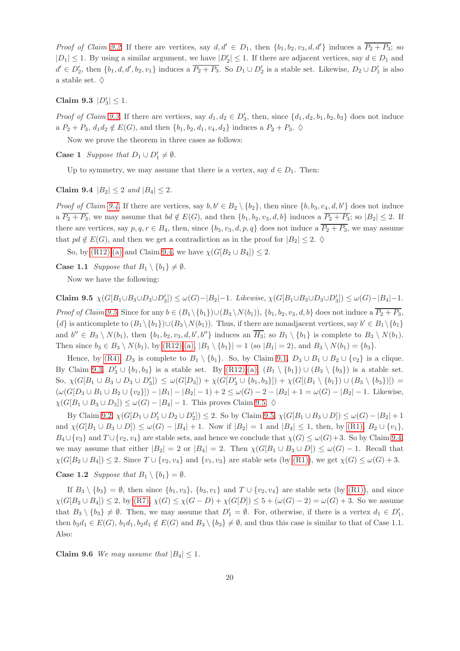*Proof of Claim [9.2](#page-18-3).* If there are vertices, say  $d, d' \in D_1$ , then  $\{b_1, b_2, v_3, d, d'\}$  induces a  $\overline{P_2 + P_3}$ ; so  $|D_1| \leq 1$ . By using a similar argument, we have  $|D_2'| \leq 1$ . If there are adjacent vertices, say  $d \in D_1$  and  $d' \in D'_2$ , then  $\{b_1, d, d', b_2, v_1\}$  induces a  $\overline{P_2 + P_3}$ . So  $D_1 \cup D'_2$  is a stable set. Likewise,  $D_2 \cup D'_1$  is also a stable set.  $\diamondsuit$ 

<span id="page-19-0"></span>Claim 9.3  $|D'_3| \leq 1$ .

*Proof of Claim* [9.3](#page-19-0). If there are vertices, say  $d_1, d_2 \in D'_3$ , then, since  $\{d_1, d_2, b_1, b_2, b_3\}$  does not induce a  $P_2 + P_3$ ,  $d_1 d_2 \notin E(G)$ , and then  $\{b_1, b_2, d_1, v_4, d_2\}$  induces a  $P_2 + P_3$ .  $\diamond$ 

Now we prove the theorem in three cases as follows:

**Case 1** *Suppose that*  $D_1 \cup D'_1 \neq \emptyset$ *.* 

<span id="page-19-1"></span>Up to symmetry, we may assume that there is a vertex, say  $d \in D_1$ . Then:

Claim 9.4  $|B_2| \leq 2$  *and*  $|B_4| \leq 2$ *.* 

*Proof of Claim [9.4](#page-19-1)*. If there are vertices, say  $b, b' \in B_2 \setminus \{b_2\}$ , then since  $\{b, b_3, v_4, d, b'\}$  does not induce a  $\overline{P_2+P_3}$ , we may assume that  $bd \notin E(G)$ , and then  $\{b_1, b_2, v_3, d, b\}$  induces a  $\overline{P_2+P_3}$ ; so  $|B_2| \leq 2$ . If there are vertices, say  $p, q, r \in B_4$ , then, since  $\{b_3, v_3, d, p, q\}$  does not induce a  $\overline{P_2 + P_3}$ , we may assume that  $pd \notin E(G)$ , and then we get a contradiction as in the proof for  $|B_2| \leq 2$ .  $\diamond$ 

So, by  $(R12):(a)$  $(R12):(a)$  and Claim [9.4,](#page-19-1) we have  $\chi(G[B_2 \cup B_4]) \leq 2$ .

**Case 1.1** *Suppose that*  $B_1 \setminus \{b_1\} \neq \emptyset$ *.* 

<span id="page-19-2"></span>Now we have the following:

Claim 9.5  $\chi(G[B_1 \cup B_3 \cup D_3 \cup D_3']) \leq \omega(G) - |B_2| - 1$ *. Likewise*,  $\chi(G[B_1 \cup B_3 \cup D_3 \cup D_3']) \leq \omega(G) - |B_4| - 1$ *. Proof of Claim* [9.5](#page-19-2). Since for any  $b \in (B_1 \setminus \{b_1\}) \cup (B_3 \setminus N(b_1)), \{b_1, b_2, v_3, d, b\}$  does not induce a  $\overline{P_2 + P_3}$ ,  $\{d\}$  is anticomplete to  $(B_1 \setminus \{b_1\}) \cup (B_3 \setminus N(b_1))$ . Thus, if there are nonadjacent vertices, say  $b' \in B_1 \setminus \{b_1\}$ and  $b'' \in B_3 \setminus N(b_1)$ , then  $\{b_1, b_2, v_3, d, b', b''\}$  induces an  $\overline{H_3}$ ; so  $B_1 \setminus \{b_1\}$  is complete to  $B_3 \setminus N(b_1)$ . Then since  $b_3 \in B_3 \setminus N(b_1)$ , by  $(R12):(a), |B_1 \setminus \{b_1\}| = 1$  $(R12):(a), |B_1 \setminus \{b_1\}| = 1$  $(R12):(a), |B_1 \setminus \{b_1\}| = 1$  (so  $|B_1| = 2$ ), and  $B_3 \setminus N(b_1) = \{b_3\}.$ 

Hence, by [\(R4\),](#page-3-7)  $D_3$  is complete to  $B_1 \setminus \{b_1\}$ . So, by Claim [9.1,](#page-18-2)  $D_3 \cup B_1 \cup B_2 \cup \{v_2\}$  is a clique. By Claim [9.3,](#page-19-0)  $D'_3 \cup \{b_1, b_3\}$  is a stable set. By  $(R12):(a), (B_1 \setminus \{b_1\}) \cup (B_3 \setminus \{b_3\})$  $(R12):(a), (B_1 \setminus \{b_1\}) \cup (B_3 \setminus \{b_3\})$  $(R12):(a), (B_1 \setminus \{b_1\}) \cup (B_3 \setminus \{b_3\})$  is a stable set. So,  $\chi(G[B_1 \cup B_3 \cup D_3 \cup D_3']) \leq \omega(G[D_3]) + \chi(G[D_3' \cup \{b_1, b_3\}]) + \chi(G[(B_1 \setminus \{b_1\}) \cup (B_3 \setminus \{b_3\})]) =$  $(\omega(G[D_3 \cup B_1 \cup B_2 \cup \{v_2\}]) - |B_1| - |B_2| - 1) + 2 \leq \omega(G) - 2 - |B_2| + 1 = \omega(G) - |B_2| - 1$ . Likewise,  $\chi(G[B_1 \cup B_3 \cup D_3]) \leq \omega(G) - |B_4| - 1$ . This proves Claim [9.5.](#page-19-2)  $\diamond$ 

By Claim [9.2,](#page-18-3)  $\chi(G[D_1 \cup D_1' \cup D_2 \cup D_2']) \leq 2$ . So by Claim [9.5,](#page-19-2)  $\chi(G[B_1 \cup B_3 \cup D]) \leq \omega(G) - |B_2| + 1$ and  $\chi(G[B_1 \cup B_3 \cup D]) \leq \omega(G) - |B_4| + 1$ . Now if  $|B_2| = 1$  and  $|B_4| \leq 1$ , then, by  $(R1)$ ,  $B_2 \cup \{v_1\}$ ,  $B_4 \cup \{v_3\}$  and  $T \cup \{v_2, v_4\}$  are stable sets, and hence we conclude that  $\chi(G) \leq \omega(G) + 3$ . So by Claim [9.4,](#page-19-1) we may assume that either  $|B_2| = 2$  or  $|B_4| = 2$ . Then  $\chi(G[B_1 \cup B_3 \cup D]) \leq \omega(G) - 1$ . Recall that  $\chi(G[B_2 \cup B_4]) \leq 2$ . Since  $T \cup \{v_2, v_4\}$  and  $\{v_1, v_3\}$  are stable sets (by [\(R1\)\)](#page-3-1), we get  $\chi(G) \leq \omega(G) + 3$ .

**Case 1.2** *Suppose that*  $B_1 \setminus \{b_1\} = \emptyset$ *.* 

If  $B_3 \setminus \{b_3\} = \emptyset$ , then since  $\{b_1, v_3\}$ ,  $\{b_3, v_1\}$  and  $T \cup \{v_2, v_4\}$  are stable sets (by [\(R1\)\)](#page-3-1), and since  $\chi(G[B_2 \cup B_4]) \leq 2$ , by  $(R7)$ ,  $\chi(G) \leq \chi(G - D) + \chi(G[D]) \leq 5 + (\omega(G) - 2) = \omega(G) + 3$ . So we assume that  $B_3 \setminus \{b_3\} \neq \emptyset$ . Then, we may assume that  $D'_1 = \emptyset$ . For, otherwise, if there is a vertex  $d_1 \in D'_1$ , then  $b_3d_1 \in E(G)$ ,  $b_1d_1$ ,  $b_2d_1 \notin E(G)$  and  $B_3 \setminus \{b_3\} \neq \emptyset$ , and thus this case is similar to that of Case 1.1. Also:

<span id="page-19-3"></span>Claim 9.6 *We may assume that*  $|B_4| < 1$ *.*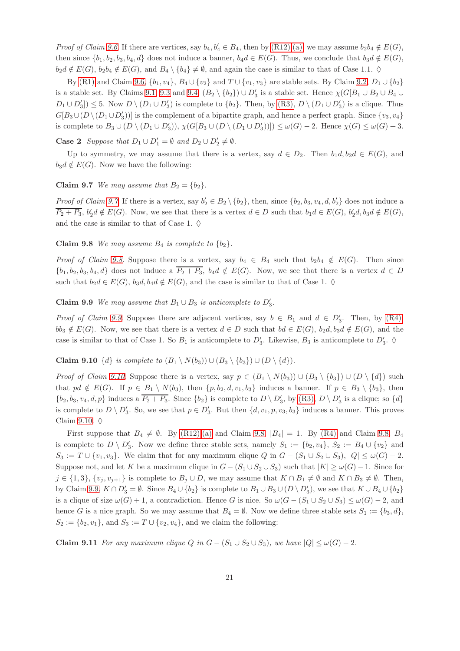*Proof of Claim [9.6](#page-19-3)*. If there are vertices, say  $b_4$ ,  $b'_4 \in B_4$ , then by [\(R12\):](#page-4-6)[\(a\),](#page-4-9) we may assume  $b_2b_4 \notin E(G)$ , then since  $\{b_1, b_2, b_3, b_4, d\}$  does not induce a banner,  $b_4d \in E(G)$ . Thus, we conclude that  $b_3d \notin E(G)$ ,  $b_2d \notin E(G)$ ,  $b_2b_4 \notin E(G)$ , and  $B_4 \setminus \{b_4\} \neq \emptyset$ , and again the case is similar to that of Case 1.1.  $\diamond$ 

By [\(R1\)](#page-3-1) and Claim [9.6,](#page-19-3)  $\{b_1, v_4\}$ ,  $B_4 \cup \{v_2\}$  and  $T \cup \{v_1, v_3\}$  are stable sets. By Claim [9.2,](#page-18-3)  $D_1 \cup \{b_2\}$ is a stable set. By Claims [9.1,](#page-18-2) [9.3](#page-19-0) and [9.4,](#page-19-1)  $(B_2 \setminus \{b_2\}) \cup D'_3$  is a stable set. Hence  $\chi(G[B_1 \cup B_2 \cup B_4 \cup B_4])$  $D_1\cup D'_3$   $\leq$  5. Now  $D\setminus (D_1\cup D'_3)$  is complete to  $\{b_2\}$ . Then, by  $(R3)$ ,  $D\setminus (D_1\cup D'_3)$  is a clique. Thus  $G[B_3\cup (D\setminus (D_1\cup D_3'))]$  is the complement of a bipartite graph, and hence a perfect graph. Since  $\{v_3, v_4\}$ is complete to  $B_3 \cup (D \setminus (D_1 \cup D'_3)), \chi(G[B_3 \cup (D \setminus (D_1 \cup D'_3))]) \leq \omega(G) - 2$ . Hence  $\chi(G) \leq \omega(G) + 3$ .

**Case 2** *Suppose that*  $D_1 \cup D'_1 = \emptyset$  *and*  $D_2 \cup D'_2 \neq \emptyset$ *.* 

<span id="page-20-0"></span>Up to symmetry, we may assume that there is a vertex, say  $d \in D_2$ . Then  $b_1d, b_2d \in E(G)$ , and  $b_3d \notin E(G)$ . Now we have the following:

Claim 9.7 *We may assume that*  $B_2 = \{b_2\}.$ 

<span id="page-20-1"></span>*Proof of Claim [9.7](#page-20-0).* If there is a vertex, say  $b'_2 \in B_2 \setminus \{b_2\}$ , then, since  $\{b_2, b_3, v_4, d, b'_2\}$  does not induce a  $\overline{P_2+P_3}$ ,  $b'_2d \notin E(G)$ . Now, we see that there is a vertex  $d \in D$  such that  $b_1d \in E(G)$ ,  $b'_2d, b_3d \notin E(G)$ , and the case is similar to that of Case 1.  $\diamondsuit$ 

**Claim 9.8** *We may assume*  $B_4$  *is complete to*  $\{b_2\}$ *.* 

*Proof of Claim* [9.8](#page-20-1). Suppose there is a vertex, say  $b_4 \in B_4$  such that  $b_2b_4 \notin E(G)$ . Then since  $\{b_1, b_2, b_3, b_4, d\}$  does not induce a  $\overline{P_2 + P_3}$ ,  $b_4d \notin E(G)$ . Now, we see that there is a vertex  $d \in D$ such that  $b_2d \in E(G)$ ,  $b_3d, b_4d \notin E(G)$ , and the case is similar to that of Case 1.  $\diamond$ 

<span id="page-20-2"></span>Claim 9.9 *We may assume that*  $B_1 \cup B_3$  *is anticomplete to*  $D'_3$ *.* 

*Proof of Claim [9.9](#page-20-2).* Suppose there are adjacent vertices, say  $b \in B_1$  and  $d \in D'_3$ . Then, by [\(R4\),](#page-3-7)  $bb_3 \notin E(G)$ . Now, we see that there is a vertex  $d \in D$  such that  $bd \in E(G)$ ,  $b_2d, b_3d \notin E(G)$ , and the case is similar to that of Case 1. So  $B_1$  is anticomplete to  $D'_3$ . Likewise,  $B_3$  is anticomplete to  $D'_3$ .  $\diamond$ 

<span id="page-20-3"></span>Claim 9.10  $\{d\}$  *is complete to*  $(B_1 \setminus N(b_3)) \cup (B_3 \setminus \{b_3\}) \cup (D \setminus \{d\}).$ 

*Proof of Claim* [9.10](#page-20-3). Suppose there is a vertex, say  $p \in (B_1 \setminus N(b_3)) \cup (B_3 \setminus \{b_3\}) \cup (D \setminus \{d\})$  such that  $pd \notin E(G)$ . If  $p \in B_1 \setminus N(b_3)$ , then  $\{p, b_2, d, v_1, b_3\}$  induces a banner. If  $p \in B_3 \setminus \{b_3\}$ , then  $\{b_2, b_3, v_4, d, p\}$  induces a  $\overline{P_2 + P_3}$ . Since  $\{b_2\}$  is complete to  $D \setminus D'_3$ , by  $(R3)$ ,  $D \setminus D'_3$  is a clique; so  $\{d\}$ is complete to  $D \setminus D'_3$ . So, we see that  $p \in D'_3$ . But then  $\{d, v_1, p, v_3, b_3\}$  induces a banner. This proves Claim [9.10.](#page-20-3)  $\diamond$ 

First suppose that  $B_4 \neq \emptyset$ . By  $(R12):(a)$  $(R12):(a)$  and Claim [9.8,](#page-20-1)  $|B_4| = 1$ . By  $(R4)$  and Claim 9.8,  $B_4$ is complete to  $D \setminus D'_3$ . Now we define three stable sets, namely  $S_1 := \{b_2, v_4\}, S_2 := B_4 \cup \{v_2\}$  and  $S_3 := T \cup \{v_1, v_3\}.$  We claim that for any maximum clique Q in  $G - (S_1 \cup S_2 \cup S_3), |Q| \leq \omega(G) - 2$ . Suppose not, and let K be a maximum clique in  $G - (S_1 \cup S_2 \cup S_3)$  such that  $|K| \ge \omega(G) - 1$ . Since for  $j \in \{1, 3\}, \{v_i, v_{i+1}\}\$ is complete to  $B_j \cup D$ , we may assume that  $K \cap B_1 \neq \emptyset$  and  $K \cap B_3 \neq \emptyset$ . Then, by Claim [9.9,](#page-20-2)  $K \cap D'_3 = \emptyset$ . Since  $B_4 \cup \{b_2\}$  is complete to  $B_1 \cup B_3 \cup (D \setminus D'_3)$ , we see that  $K \cup B_4 \cup \{b_2\}$ is a clique of size  $\omega(G) + 1$ , a contradiction. Hence G is nice. So  $\omega(G - (S_1 \cup S_2 \cup S_3) \leq \omega(G) - 2$ , and hence G is a nice graph. So we may assume that  $B_4 = \emptyset$ . Now we define three stable sets  $S_1 := \{b_3, d\}$ ,  $S_2 := \{b_2, v_1\}$ , and  $S_3 := T \cup \{v_2, v_4\}$ , and we claim the following:

<span id="page-20-4"></span>**Claim 9.11** *For any maximum clique* Q *in*  $G - (S_1 \cup S_2 \cup S_3)$ *, we have*  $|Q| \leq \omega(G) - 2$ *.*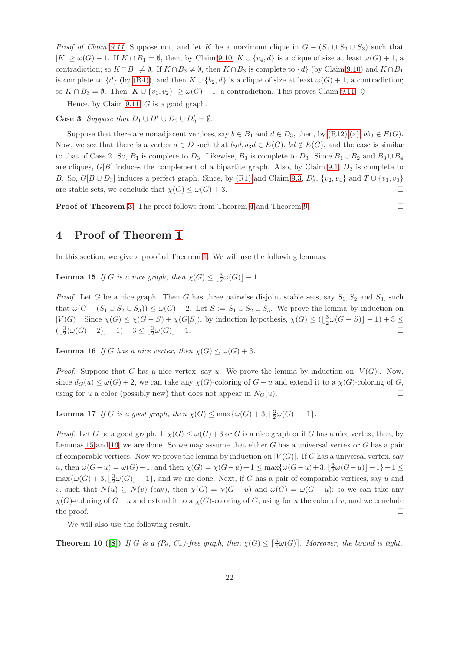*Proof of Claim* [9.11](#page-20-4). Suppose not, and let K be a maximum clique in  $G - (S_1 \cup S_2 \cup S_3)$  such that  $|K| \ge \omega(G) - 1$ . If  $K \cap B_1 = \emptyset$ , then, by Claim [9.10,](#page-20-3)  $K \cup \{v_4, d\}$  is a clique of size at least  $\omega(G) + 1$ , a contradiction; so  $K \cap B_1 \neq \emptyset$ . If  $K \cap B_3 \neq \emptyset$ , then  $K \cap B_3$  is complete to  $\{d\}$  (by Claim [9.10\)](#page-20-3) and  $K \cap B_1$ is complete to  $\{d\}$  (by [\(R4\)\)](#page-3-7), and then  $K \cup \{b_2, d\}$  is a clique of size at least  $\omega(G) + 1$ , a contradiction; so  $K \cap B_3 = \emptyset$ . Then  $|K \cup \{v_1, v_2\}| \geq \omega(G) + 1$ , a contradiction. This proves Claim [9.11.](#page-20-4)  $\diamond$ 

Hence, by Claim [9.11,](#page-20-4)  $G$  is a good graph.

**Case 3** Suppose that  $D_1 \cup D'_1 \cup D_2 \cup D'_2 = \emptyset$ .

Suppose that there are nonadjacent vertices, say  $b \in B_1$  and  $d \in D_3$ , then, by  $(R12):(a)$ ,  $bb_3 \notin E(G)$ . Now, we see that there is a vertex  $d \in D$  such that  $b_2d, b_3d \in E(G)$ ,  $bd \notin E(G)$ , and the case is similar to that of Case 2. So,  $B_1$  is complete to  $D_3$ . Likewise,  $B_3$  is complete to  $D_3$ . Since  $B_1 \cup B_2$  and  $B_3 \cup B_4$ are cliques,  $G[B]$  induces the complement of a bipartite graph. Also, by Claim [9.1,](#page-18-2)  $D_3$  is complete to B. So,  $G[B \cup D_3]$  induces a perfect graph. Since, by [\(R1\)](#page-3-1) and Claim [9.3,](#page-19-0)  $D'_3$ ,  $\{v_2, v_4\}$  and  $T \cup \{v_1, v_3\}$ are stable sets, we conclude that  $\chi(G) \leq \omega(G) + 3$ .

<span id="page-21-0"></span>Proof of Theorem [3](#page-2-0). The proof follows from Theorem [4](#page-5-2) and Theorem [9.](#page-18-0) □

# 4 Proof of Theorem [1](#page-1-2)

<span id="page-21-1"></span>In this section, we give a proof of Theorem [1.](#page-1-2) We will use the following lemmas.

**Lemma 15** *If G is a nice graph, then*  $\chi(G) \leq \lfloor \frac{3}{2} \omega(G) \rfloor - 1$ *.* 

*Proof.* Let G be a nice graph. Then G has three pairwise disjoint stable sets, say  $S_1, S_2$  and  $S_3$ , such that  $\omega(G - (S_1 \cup S_2 \cup S_3)) \leq \omega(G) - 2$ . Let  $S := S_1 \cup S_2 \cup S_3$ . We prove the lemma by induction on  $|V(G)|$ . Since  $\chi(G) \leq \chi(G-S) + \chi(G[S])$ , by induction hypothesis,  $\chi(G) \leq (\lfloor \frac{3}{2}\omega(G-S) \rfloor - 1) + 3 \leq$  $(\lfloor \frac{3}{2}(\omega(G)-2) \rfloor - 1) + 3 \leq \lfloor \frac{3}{2}\omega(G) \rfloor - 1.$ 

<span id="page-21-2"></span>**Lemma 16** *If* G has a nice vertex, then  $\chi(G) \leq \omega(G) + 3$ .

*Proof.* Suppose that G has a nice vertex, say u. We prove the lemma by induction on  $|V(G)|$ . Now, since  $d_G(u) \le \omega(G) + 2$ , we can take any  $\chi(G)$ -coloring of  $G - u$  and extend it to a  $\chi(G)$ -coloring of G, using for u a color (possibly new) that does not appear in  $N_G(u)$ .

<span id="page-21-4"></span>**Lemma 17** *If* G *is a good graph, then*  $\chi(G) \le \max{\lbrace \omega(G) + 3, \lfloor \frac{3}{2} \omega(G) \rfloor - 1}$ *.* 

*Proof.* Let G be a good graph. If  $\chi(G) \leq \omega(G) + 3$  or G is a nice graph or if G has a nice vertex, then, by Lemmas [15](#page-21-1) and [16,](#page-21-2) we are done. So we may assume that either  $G$  has a universal vertex or  $G$  has a pair of comparable vertices. Now we prove the lemma by induction on  $|V(G)|$ . If G has a universal vertex, say u, then  $\omega(G-u) = \omega(G) - 1$ , and then  $\chi(G) = \chi(G-u) + 1 \le \max{\lbrace \omega(G-u) + 3, \lfloor \frac{3}{2} \omega(G-u) \rfloor - 1 \rbrace} + 1 \le$  $\max\{\omega(G)+3,\lfloor\frac{3}{2}\omega(G)\rfloor-1\}$ , and we are done. Next, if G has a pair of comparable vertices, say u and v, such that  $N(u) \subseteq N(v)$  (say), then  $\chi(G) = \chi(G - u)$  and  $\omega(G) = \omega(G - u)$ ; so we can take any  $\chi(G)$ -coloring of  $G-u$  and extend it to a  $\chi(G)$ -coloring of G, using for u the color of v, and we conclude the proof.  $\Box$ 

<span id="page-21-3"></span>We will also use the following result.

**Theorem 10** ([\[8\]](#page-22-11)) *If* G is a  $(P_6, C_4)$ -free graph, then  $\chi(G) \leq \lceil \frac{5}{4} \omega(G) \rceil$ . Moreover, the bound is tight.